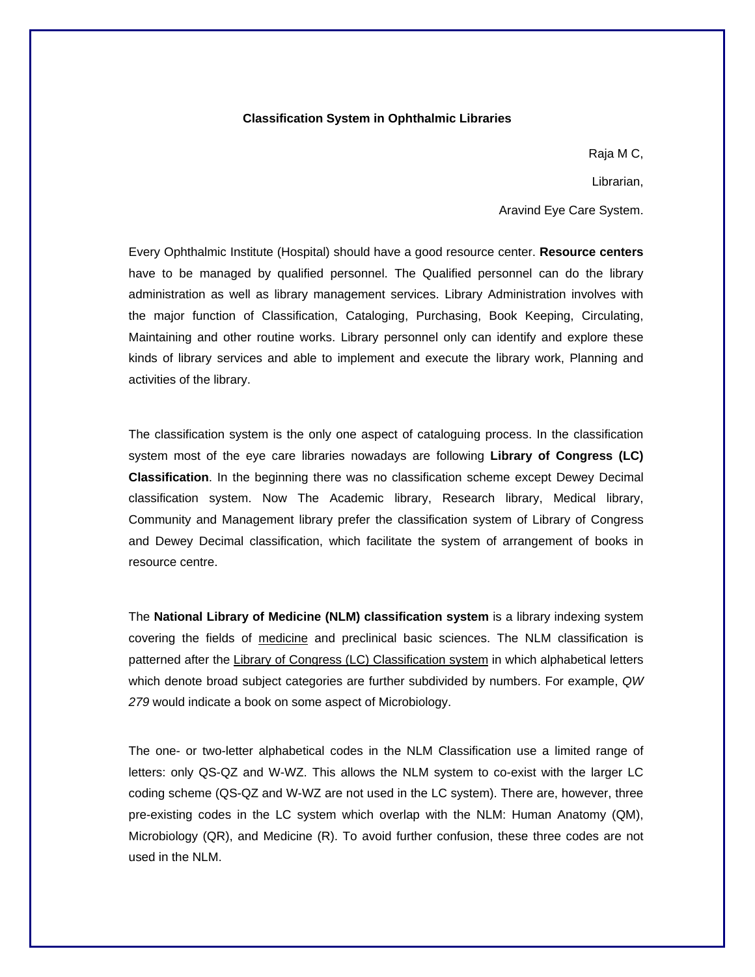### **Classification System in Ophthalmic Libraries**

Raja M C,

Librarian,

Aravind Eye Care System.

Every Ophthalmic Institute (Hospital) should have a good resource center. **Resource centers**  have to be managed by qualified personnel. The Qualified personnel can do the library administration as well as library management services. Library Administration involves with the major function of Classification, Cataloging, Purchasing, Book Keeping, Circulating, Maintaining and other routine works. Library personnel only can identify and explore these kinds of library services and able to implement and execute the library work, Planning and activities of the library.

The classification system is the only one aspect of cataloguing process. In the classification system most of the eye care libraries nowadays are following **Library of Congress (LC) Classification**. In the beginning there was no classification scheme except Dewey Decimal classification system. Now The Academic library, Research library, Medical library, Community and Management library prefer the classification system of Library of Congress and Dewey Decimal classification, which facilitate the system of arrangement of books in resource centre.

The **National Library of Medicine (NLM) classification system** is a library indexing system covering the fields of medicine and preclinical basic sciences. The NLM classification is patterned after the Library of Congress (LC) Classification system in which alphabetical letters which denote broad subject categories are further subdivided by numbers. For example, *QW 279* would indicate a book on some aspect of Microbiology.

The one- or two-letter alphabetical codes in the NLM Classification use a limited range of letters: only QS-QZ and W-WZ. This allows the NLM system to co-exist with the larger LC coding scheme (QS-QZ and W-WZ are not used in the LC system). There are, however, three pre-existing codes in the LC system which overlap with the NLM: Human Anatomy (QM), Microbiology (QR), and Medicine (R). To avoid further confusion, these three codes are not used in the NLM.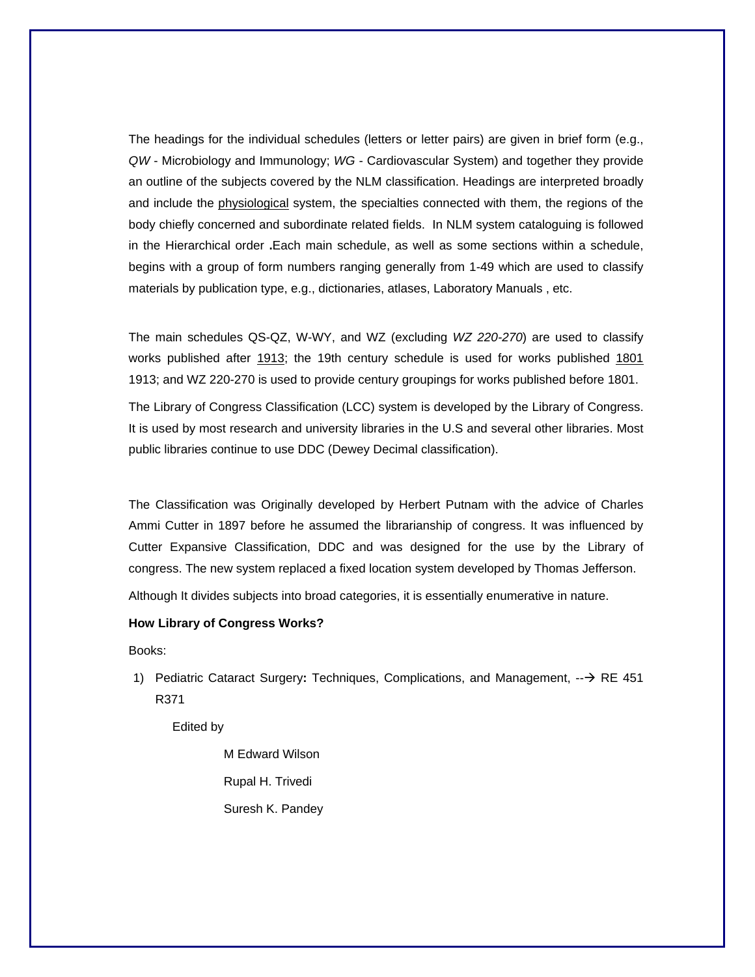The headings for the individual schedules (letters or letter pairs) are given in brief form (e.g., *QW* - Microbiology and Immunology; *WG* - Cardiovascular System) and together they provide an outline of the subjects covered by the NLM classification. Headings are interpreted broadly and include the physiological system, the specialties connected with them, the regions of the body chiefly concerned and subordinate related fields. In NLM system cataloguing is followed in the Hierarchical order **.**Each main schedule, as well as some sections within a schedule, begins with a group of form numbers ranging generally from 1-49 which are used to classify materials by publication type, e.g., dictionaries, atlases, Laboratory Manuals , etc.

The main schedules QS-QZ, W-WY, and WZ (excluding *WZ 220-270*) are used to classify works published after 1913; the 19th century schedule is used for works published 1801 1913; and WZ 220-270 is used to provide century groupings for works published before 1801.

The Library of Congress Classification (LCC) system is developed by the Library of Congress. It is used by most research and university libraries in the U.S and several other libraries. Most public libraries continue to use DDC (Dewey Decimal classification).

The Classification was Originally developed by Herbert Putnam with the advice of Charles Ammi Cutter in 1897 before he assumed the librarianship of congress. It was influenced by Cutter Expansive Classification, DDC and was designed for the use by the Library of congress. The new system replaced a fixed location system developed by Thomas Jefferson.

Although It divides subjects into broad categories, it is essentially enumerative in nature.

### **How Library of Congress Works?**

Books:

1) Pediatric Cataract Surgery: Techniques, Complications, and Management, --→ RE 451 R371

Edited by

 M Edward Wilson Rupal H. Trivedi Suresh K. Pandey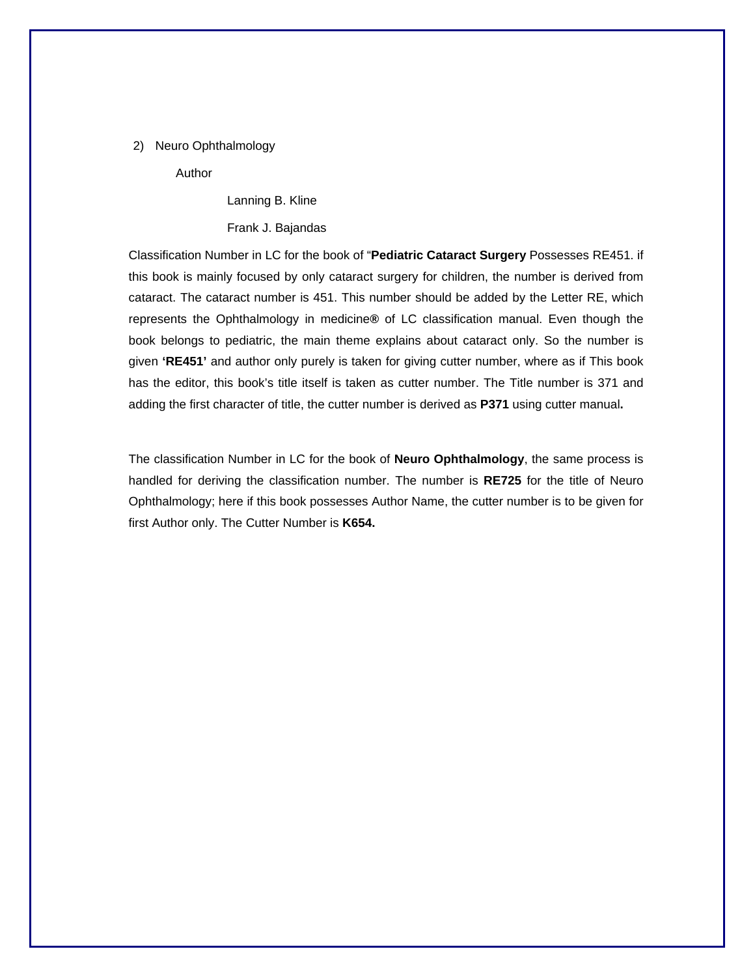#### 2) Neuro Ophthalmology

Author

Lanning B. Kline

Frank J. Bajandas

Classification Number in LC for the book of "**Pediatric Cataract Surgery** Possesses RE451. if this book is mainly focused by only cataract surgery for children, the number is derived from cataract. The cataract number is 451. This number should be added by the Letter RE, which represents the Ophthalmology in medicine**®** of LC classification manual. Even though the book belongs to pediatric, the main theme explains about cataract only. So the number is given **'RE451'** and author only purely is taken for giving cutter number, where as if This book has the editor, this book's title itself is taken as cutter number. The Title number is 371 and adding the first character of title, the cutter number is derived as **P371** using cutter manual**.** 

The classification Number in LC for the book of **Neuro Ophthalmology**, the same process is handled for deriving the classification number. The number is **RE725** for the title of Neuro Ophthalmology; here if this book possesses Author Name, the cutter number is to be given for first Author only. The Cutter Number is **K654.**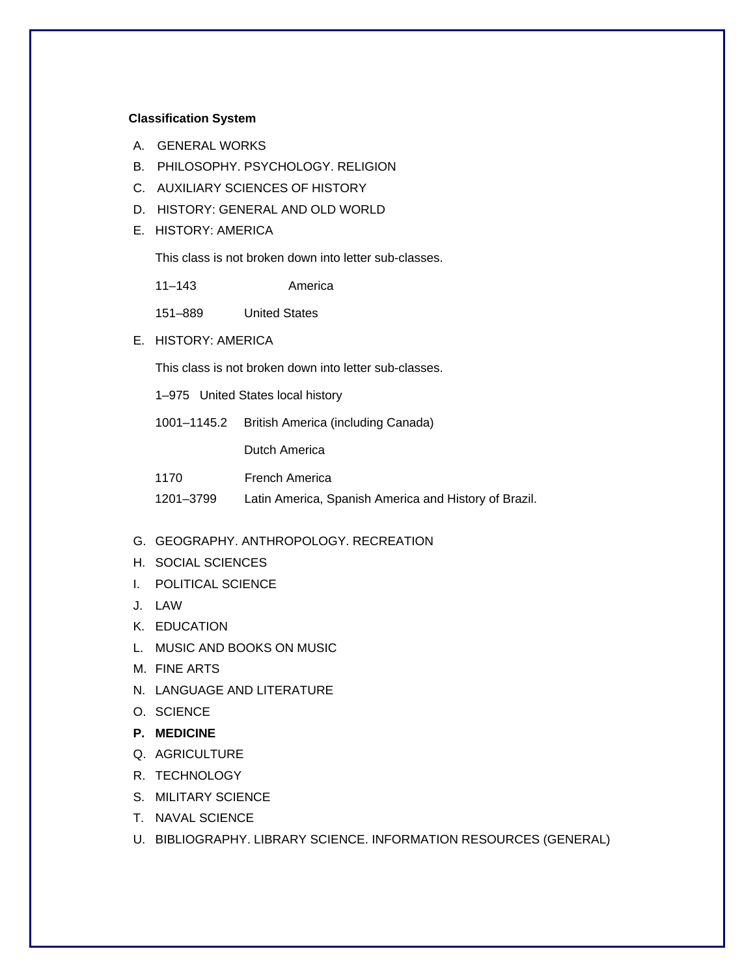### **Classification System**

- A. GENERAL WORKS
- B. PHILOSOPHY. PSYCHOLOGY. RELIGION
- C. AUXILIARY SCIENCES OF HISTORY
- D. HISTORY: GENERAL AND OLD WORLD
- E. HISTORY: AMERICA

This class is not broken down into letter sub-classes.

| America |
|---------|
|         |

- 151–889 United States
- E. HISTORY: AMERICA

This class is not broken down into letter sub-classes.

1–975 United States local history

1001–1145.2 British America (including Canada)

Dutch America

| 1170      | French America                                        |
|-----------|-------------------------------------------------------|
| 1201–3799 | Latin America, Spanish America and History of Brazil. |

#### G. GEOGRAPHY. ANTHROPOLOGY. RECREATION

- H. SOCIAL SCIENCES
- I. POLITICAL SCIENCE
- J. LAW
- K. EDUCATION
- L. MUSIC AND BOOKS ON MUSIC
- M. FINE ARTS
- N. LANGUAGE AND LITERATURE
- O. SCIENCE
- **P. MEDICINE**
- Q. AGRICULTURE
- R. TECHNOLOGY
- S. MILITARY SCIENCE
- T. NAVAL SCIENCE
- U. BIBLIOGRAPHY. LIBRARY SCIENCE. INFORMATION RESOURCES (GENERAL)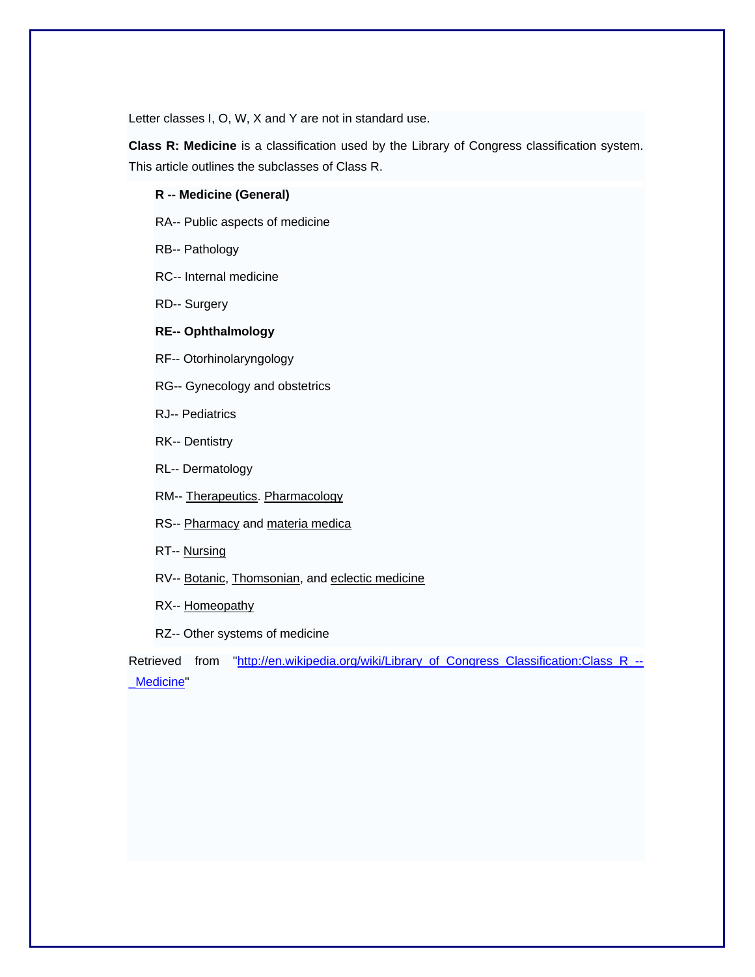Letter classes I, O, W, X and Y are not in standard use.

**Class R: Medicine** is a classification used by the Library of Congress classification system. This article outlines the subclasses of Class R.

#### **R -- Medicine (General)**

RA-- Public aspects of medicine

RB-- Pathology

RC-- Internal medicine

RD-- Surgery

## **RE-- Ophthalmology**

RF-- Otorhinolaryngology

RG-- Gynecology and obstetrics

RJ-- Pediatrics

RK-- Dentistry

RL-- Dermatology

RM-- Therapeutics. Pharmacology

RS-- Pharmacy and materia medica

RT-- Nursing

RV-- Botanic, Thomsonian, and eclectic medicine

RX-- Homeopathy

RZ-- Other systems of medicine

Retrieved from "http://en.wikipedia.org/wiki/Library\_of\_Congress\_Classification:Class\_R\_--Medicine"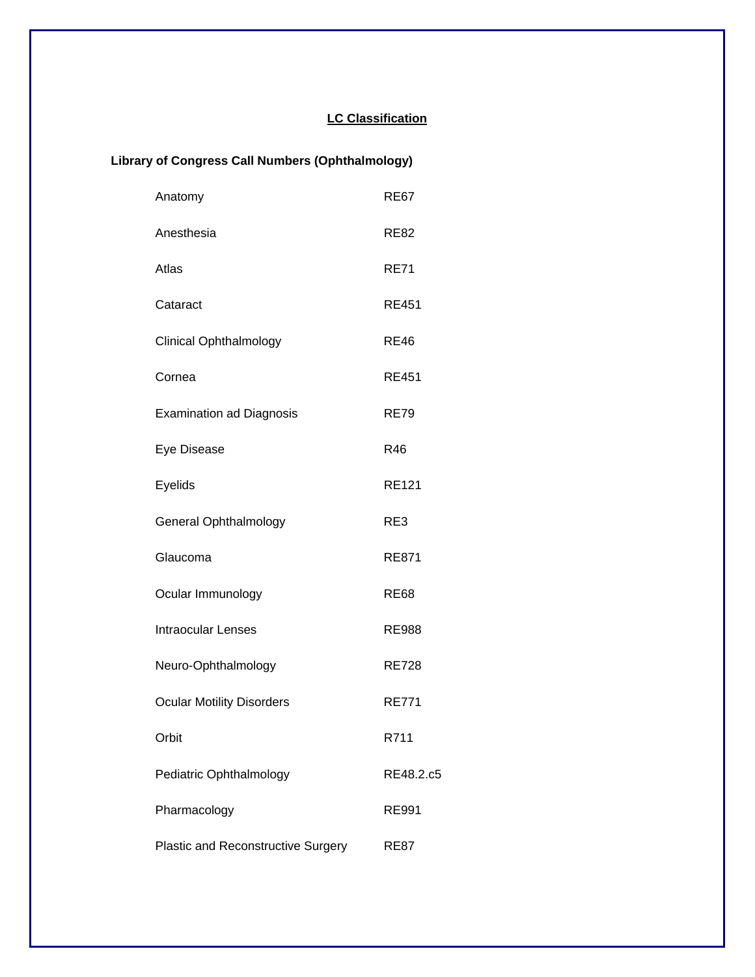# **LC Classification**

# **Library of Congress Call Numbers (Ophthalmology)**

| Anatomy                                   | <b>RE67</b>  |
|-------------------------------------------|--------------|
| Anesthesia                                | <b>RE82</b>  |
| Atlas                                     | <b>RE71</b>  |
| Cataract                                  | <b>RE451</b> |
| <b>Clinical Ophthalmology</b>             | <b>RE46</b>  |
| Cornea                                    | <b>RE451</b> |
| <b>Examination ad Diagnosis</b>           | <b>RE79</b>  |
| Eye Disease                               | R46          |
| Eyelids                                   | <b>RE121</b> |
| <b>General Ophthalmology</b>              | RE3          |
| Glaucoma                                  | <b>RE871</b> |
| Ocular Immunology                         | <b>RE68</b>  |
| <b>Intraocular Lenses</b>                 | <b>RE988</b> |
| Neuro-Ophthalmology                       | <b>RE728</b> |
| <b>Ocular Motility Disorders</b>          | <b>RE771</b> |
| Orbit                                     | R711         |
| Pediatric Ophthalmology                   | RE48.2.c5    |
| Pharmacology                              | <b>RE991</b> |
| <b>Plastic and Reconstructive Surgery</b> | <b>RE87</b>  |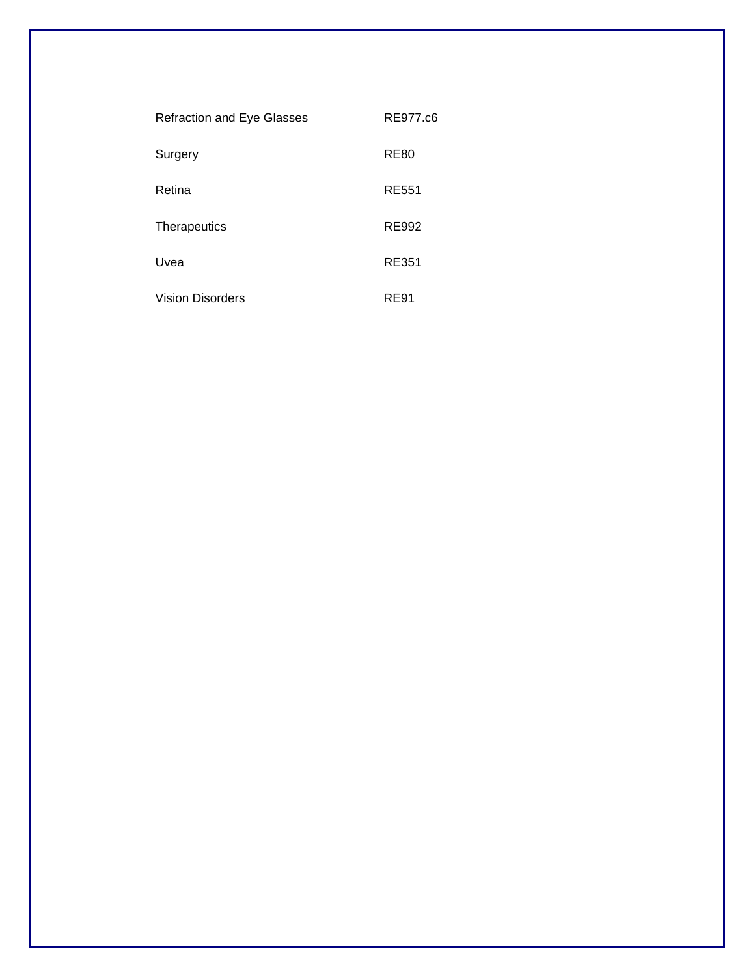| <b>Refraction and Eye Glasses</b> | RE977.c6    |
|-----------------------------------|-------------|
| Surgery                           | <b>RE80</b> |
| Retina                            | RE551       |
| Therapeutics                      | RE992       |
| Uvea                              | RE351       |
| <b>Vision Disorders</b>           | RE91        |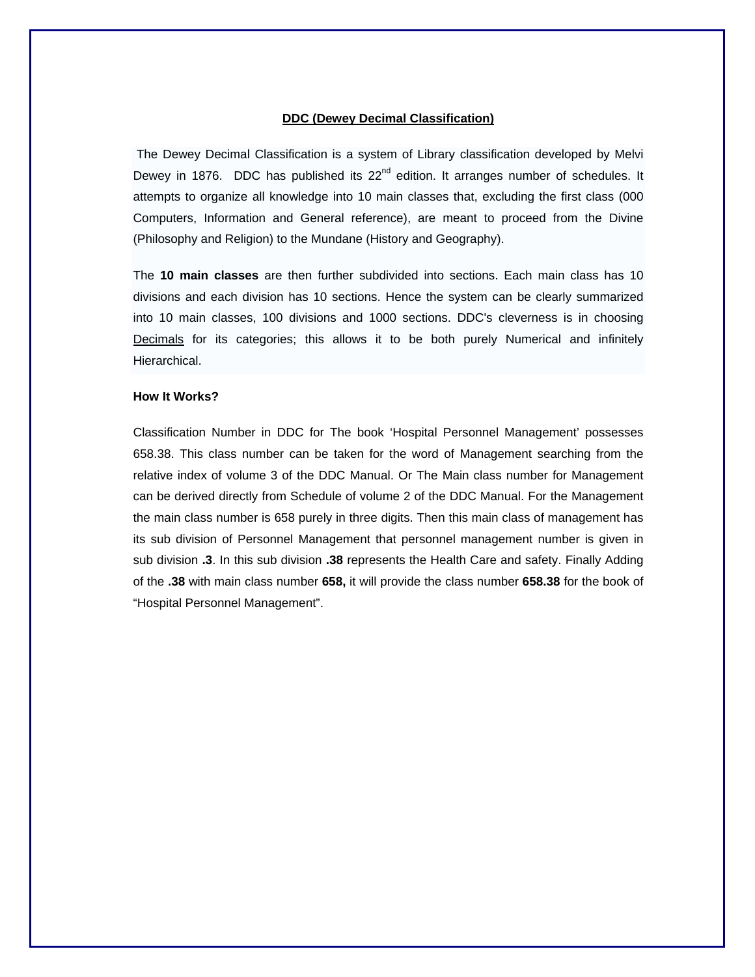### **DDC (Dewey Decimal Classification)**

 The Dewey Decimal Classification is a system of Library classification developed by Melvi Dewey in 1876. DDC has published its  $22^{nd}$  edition. It arranges number of schedules. It attempts to organize all knowledge into 10 main classes that, excluding the first class (000 Computers, Information and General reference), are meant to proceed from the Divine (Philosophy and Religion) to the Mundane (History and Geography).

The **10 main classes** are then further subdivided into sections. Each main class has 10 divisions and each division has 10 sections. Hence the system can be clearly summarized into 10 main classes, 100 divisions and 1000 sections. DDC's cleverness is in choosing Decimals for its categories; this allows it to be both purely Numerical and infinitely Hierarchical.

## **How It Works?**

Classification Number in DDC for The book 'Hospital Personnel Management' possesses 658.38. This class number can be taken for the word of Management searching from the relative index of volume 3 of the DDC Manual. Or The Main class number for Management can be derived directly from Schedule of volume 2 of the DDC Manual. For the Management the main class number is 658 purely in three digits. Then this main class of management has its sub division of Personnel Management that personnel management number is given in sub division **.3**. In this sub division **.38** represents the Health Care and safety. Finally Adding of the **.38** with main class number **658,** it will provide the class number **658.38** for the book of "Hospital Personnel Management".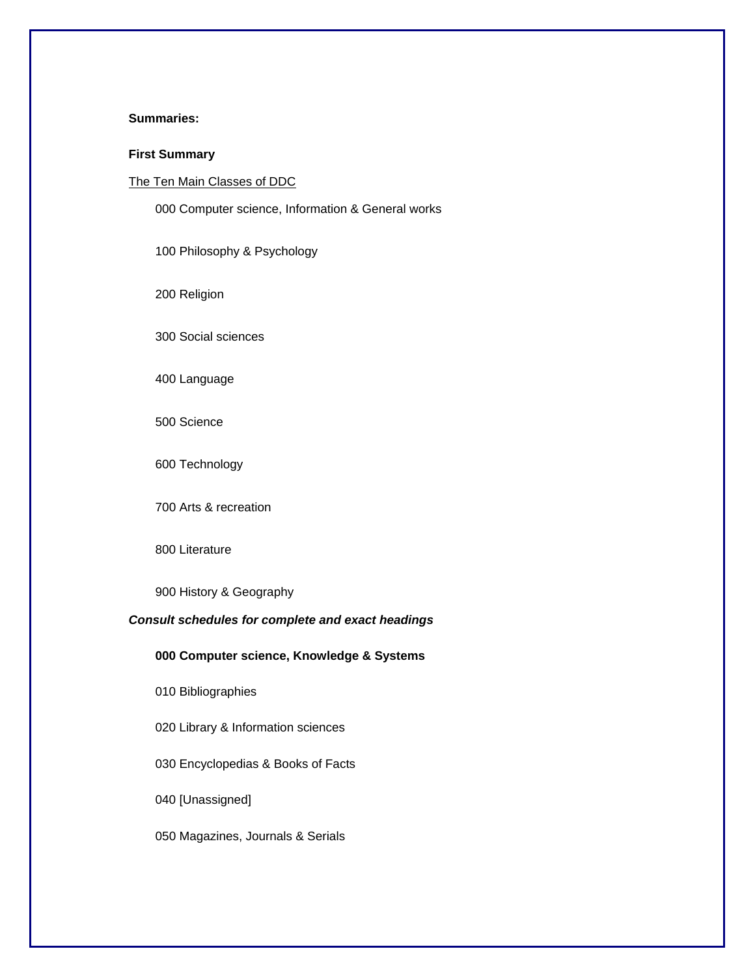## **Summaries:**

### **First Summary**

## The Ten Main Classes of DDC

000 Computer science, Information & General works

100 Philosophy & Psychology

200 Religion

300 Social sciences

400 Language

500 Science

600 Technology

700 Arts & recreation

# 800 Literature

900 History & Geography

## *Consult schedules for complete and exact headings*

## **000 Computer science, Knowledge & Systems**

010 Bibliographies

020 Library & Information sciences

030 Encyclopedias & Books of Facts

040 [Unassigned]

050 Magazines, Journals & Serials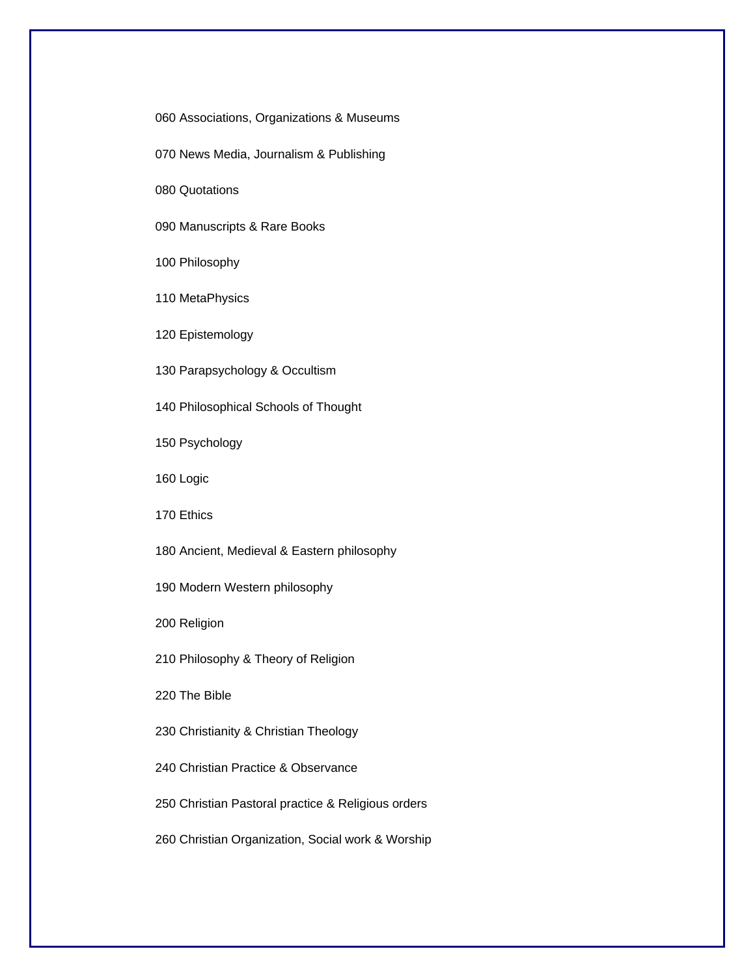060 Associations, Organizations & Museums

070 News Media, Journalism & Publishing

080 Quotations

090 Manuscripts & Rare Books

100 Philosophy

110 MetaPhysics

120 Epistemology

130 Parapsychology & Occultism

140 Philosophical Schools of Thought

150 Psychology

160 Logic

170 Ethics

180 Ancient, Medieval & Eastern philosophy

190 Modern Western philosophy

200 Religion

210 Philosophy & Theory of Religion

220 The Bible

230 Christianity & Christian Theology

240 Christian Practice & Observance

250 Christian Pastoral practice & Religious orders

260 Christian Organization, Social work & Worship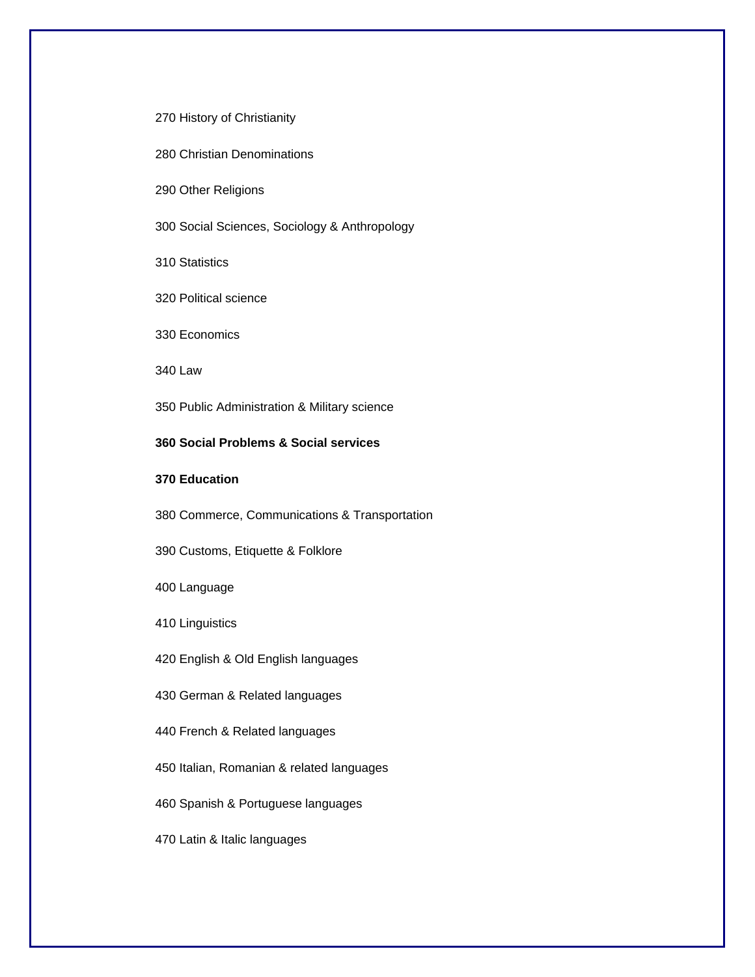#### 270 History of Christianity

280 Christian Denominations

290 Other Religions

300 Social Sciences, Sociology & Anthropology

310 Statistics

320 Political science

330 Economics

340 Law

350 Public Administration & Military science

## **360 Social Problems & Social services**

## **370 Education**

380 Commerce, Communications & Transportation

390 Customs, Etiquette & Folklore

400 Language

410 Linguistics

420 English & Old English languages

430 German & Related languages

440 French & Related languages

450 Italian, Romanian & related languages

460 Spanish & Portuguese languages

470 Latin & Italic languages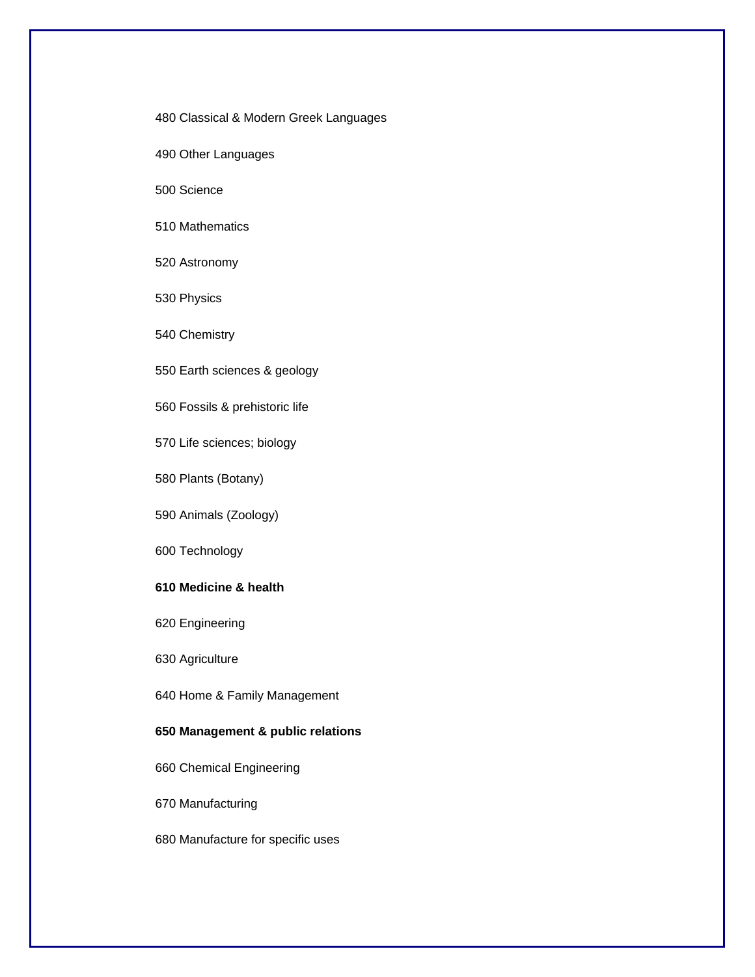480 Classical & Modern Greek Languages

490 Other Languages

500 Science

## 510 Mathematics

520 Astronomy

530 Physics

540 Chemistry

550 Earth sciences & geology

560 Fossils & prehistoric life

570 Life sciences; biology

580 Plants (Botany)

590 Animals (Zoology)

600 Technology

## **610 Medicine & health**

620 Engineering

630 Agriculture

640 Home & Family Management

## **650 Management & public relations**

660 Chemical Engineering

670 Manufacturing

680 Manufacture for specific uses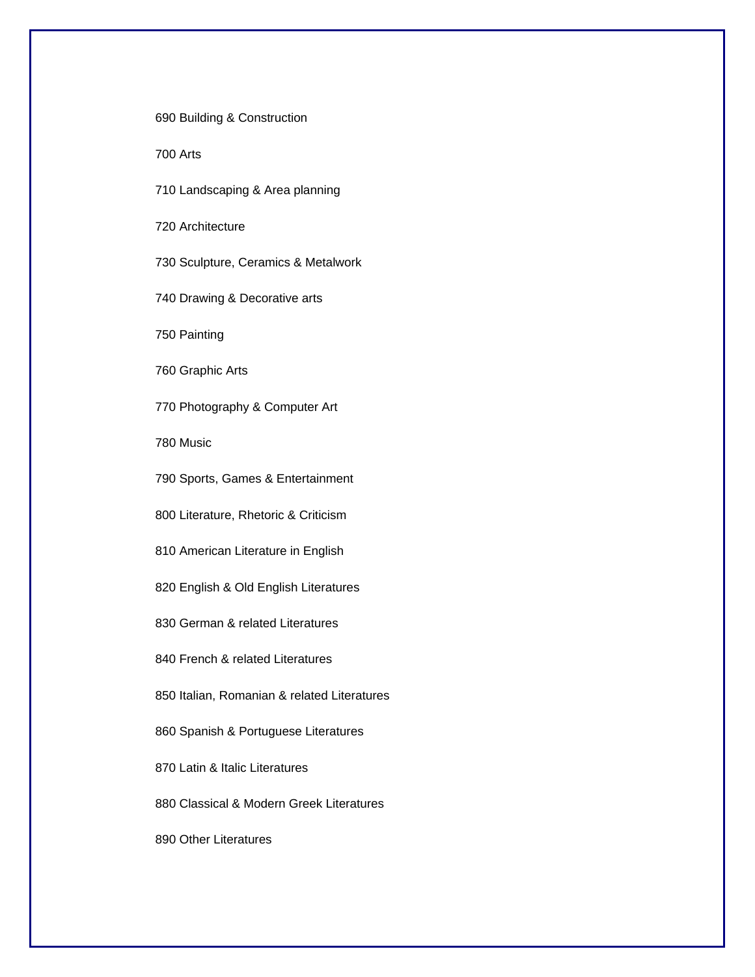690 Building & Construction

700 Arts

710 Landscaping & Area planning

720 Architecture

730 Sculpture, Ceramics & Metalwork

740 Drawing & Decorative arts

750 Painting

760 Graphic Arts

770 Photography & Computer Art

780 Music

790 Sports, Games & Entertainment

800 Literature, Rhetoric & Criticism

810 American Literature in English

820 English & Old English Literatures

830 German & related Literatures

840 French & related Literatures

850 Italian, Romanian & related Literatures

860 Spanish & Portuguese Literatures

870 Latin & Italic Literatures

880 Classical & Modern Greek Literatures

890 Other Literatures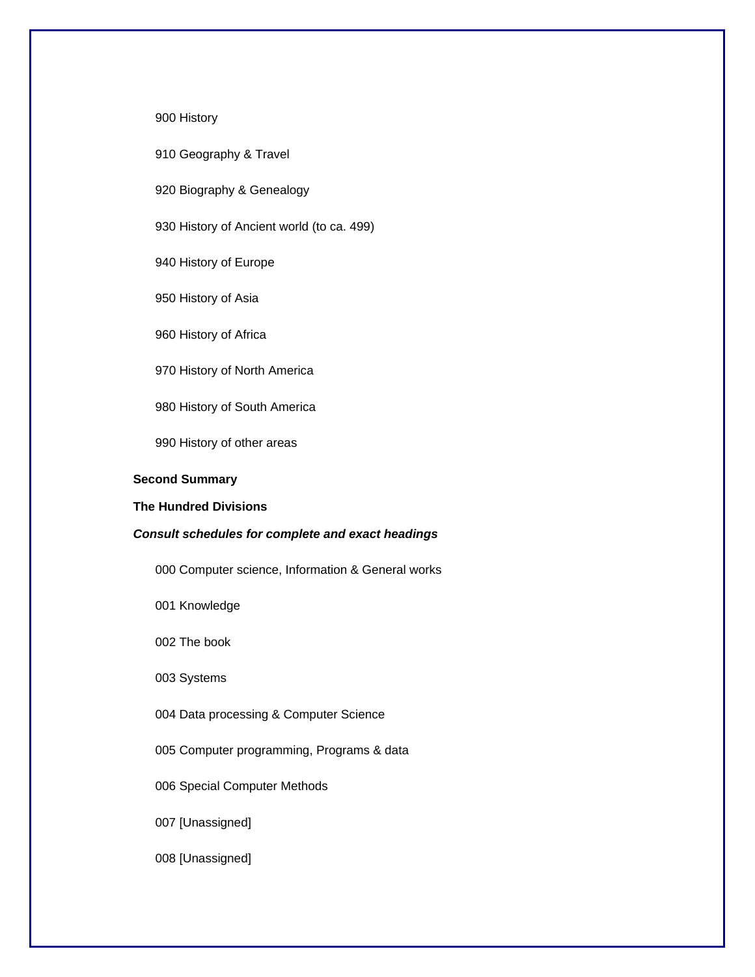#### 900 History

910 Geography & Travel

920 Biography & Genealogy

930 History of Ancient world (to ca. 499)

940 History of Europe

950 History of Asia

960 History of Africa

970 History of North America

980 History of South America

990 History of other areas

#### **Second Summary**

## **The Hundred Divisions**

#### *Consult schedules for complete and exact headings*

000 Computer science, Information & General works

001 Knowledge

002 The book

003 Systems

004 Data processing & Computer Science

005 Computer programming, Programs & data

006 Special Computer Methods

007 [Unassigned]

008 [Unassigned]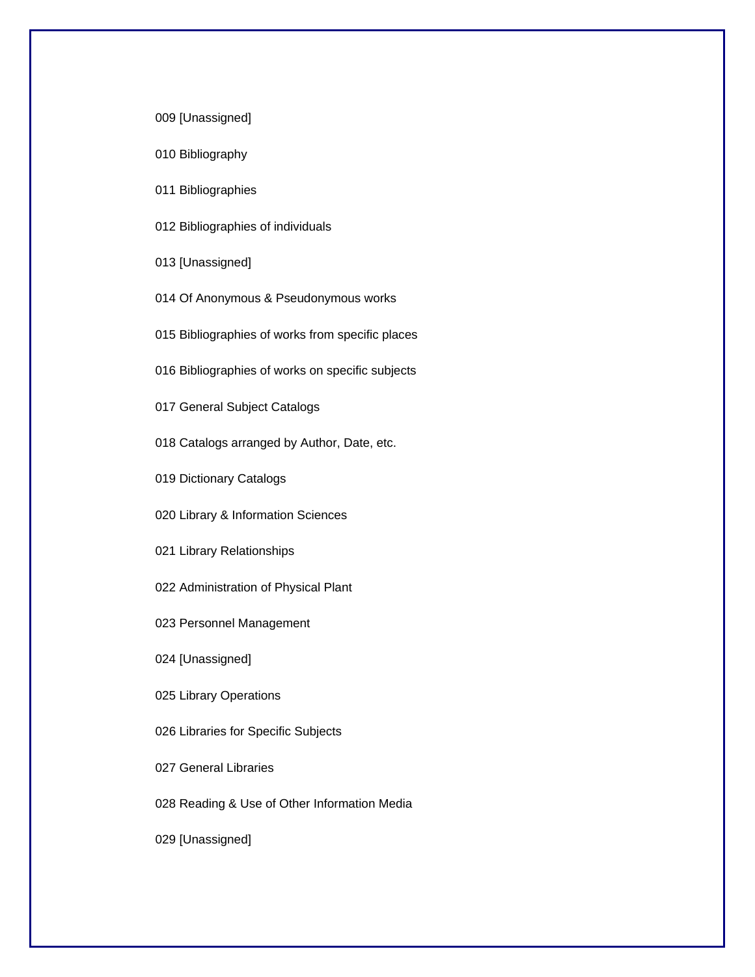009 [Unassigned]

010 Bibliography

011 Bibliographies

012 Bibliographies of individuals

013 [Unassigned]

014 Of Anonymous & Pseudonymous works

015 Bibliographies of works from specific places

016 Bibliographies of works on specific subjects

017 General Subject Catalogs

018 Catalogs arranged by Author, Date, etc.

019 Dictionary Catalogs

020 Library & Information Sciences

021 Library Relationships

022 Administration of Physical Plant

023 Personnel Management

024 [Unassigned]

025 Library Operations

026 Libraries for Specific Subjects

027 General Libraries

028 Reading & Use of Other Information Media

029 [Unassigned]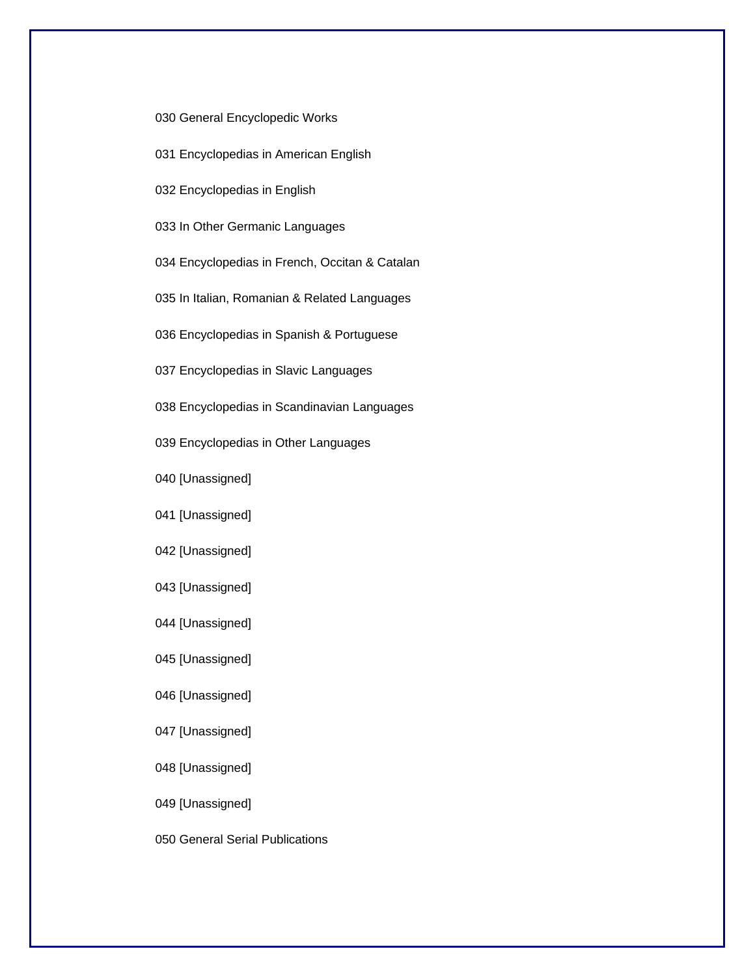030 General Encyclopedic Works

031 Encyclopedias in American English

032 Encyclopedias in English

033 In Other Germanic Languages

034 Encyclopedias in French, Occitan & Catalan

035 In Italian, Romanian & Related Languages

036 Encyclopedias in Spanish & Portuguese

037 Encyclopedias in Slavic Languages

038 Encyclopedias in Scandinavian Languages

039 Encyclopedias in Other Languages

040 [Unassigned]

041 [Unassigned]

042 [Unassigned]

043 [Unassigned]

044 [Unassigned]

045 [Unassigned]

046 [Unassigned]

047 [Unassigned]

048 [Unassigned]

049 [Unassigned]

050 General Serial Publications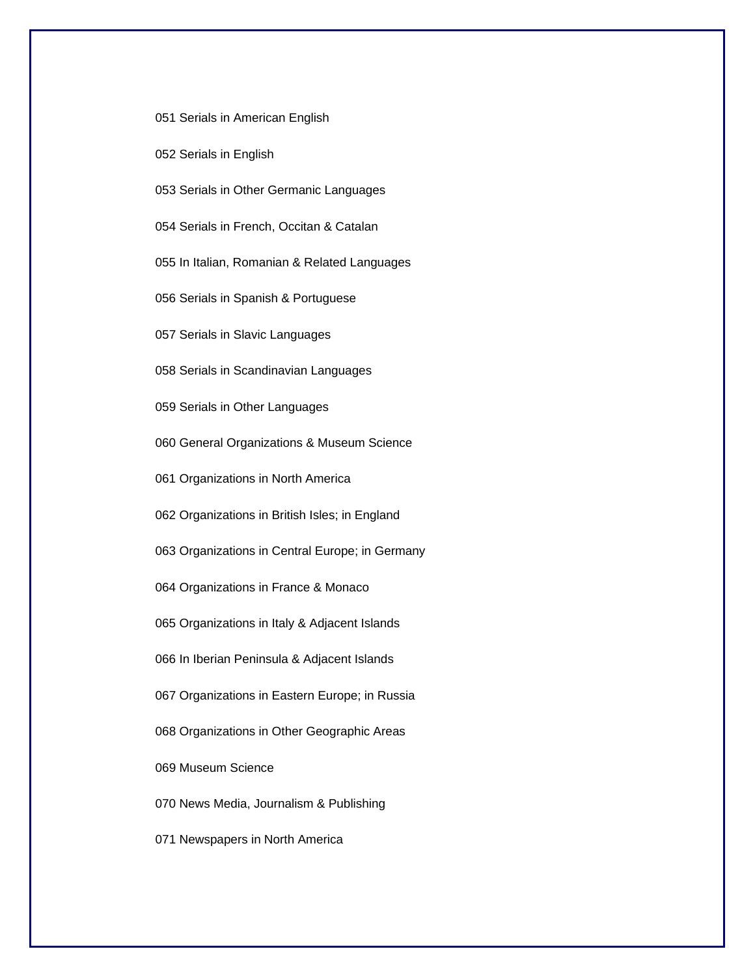051 Serials in American English

052 Serials in English

053 Serials in Other Germanic Languages

054 Serials in French, Occitan & Catalan

055 In Italian, Romanian & Related Languages

056 Serials in Spanish & Portuguese

057 Serials in Slavic Languages

058 Serials in Scandinavian Languages

059 Serials in Other Languages

060 General Organizations & Museum Science

061 Organizations in North America

062 Organizations in British Isles; in England

063 Organizations in Central Europe; in Germany

064 Organizations in France & Monaco

065 Organizations in Italy & Adjacent Islands

066 In Iberian Peninsula & Adjacent Islands

067 Organizations in Eastern Europe; in Russia

068 Organizations in Other Geographic Areas

069 Museum Science

070 News Media, Journalism & Publishing

071 Newspapers in North America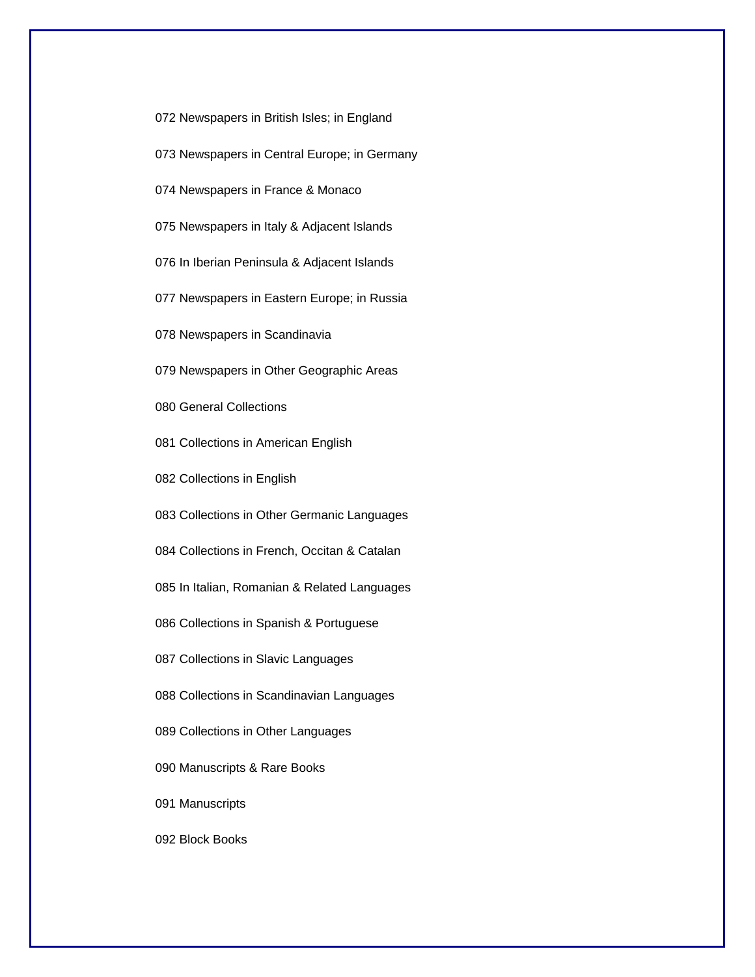072 Newspapers in British Isles; in England

073 Newspapers in Central Europe; in Germany

074 Newspapers in France & Monaco

075 Newspapers in Italy & Adjacent Islands

076 In Iberian Peninsula & Adjacent Islands

077 Newspapers in Eastern Europe; in Russia

078 Newspapers in Scandinavia

079 Newspapers in Other Geographic Areas

080 General Collections

081 Collections in American English

082 Collections in English

083 Collections in Other Germanic Languages

084 Collections in French, Occitan & Catalan

085 In Italian, Romanian & Related Languages

086 Collections in Spanish & Portuguese

087 Collections in Slavic Languages

088 Collections in Scandinavian Languages

089 Collections in Other Languages

090 Manuscripts & Rare Books

091 Manuscripts

092 Block Books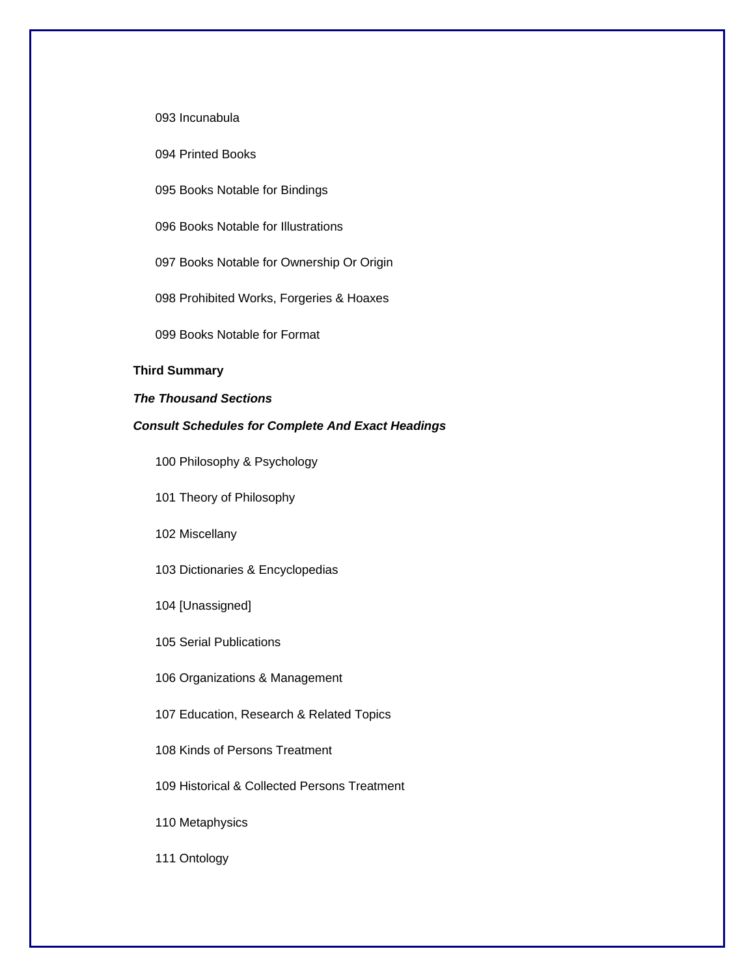093 Incunabula

094 Printed Books

095 Books Notable for Bindings

096 Books Notable for Illustrations

097 Books Notable for Ownership Or Origin

098 Prohibited Works, Forgeries & Hoaxes

099 Books Notable for Format

## **Third Summary**

#### *The Thousand Sections*

## *Consult Schedules for Complete And Exact Headings*

100 Philosophy & Psychology

101 Theory of Philosophy

102 Miscellany

103 Dictionaries & Encyclopedias

104 [Unassigned]

105 Serial Publications

106 Organizations & Management

107 Education, Research & Related Topics

108 Kinds of Persons Treatment

109 Historical & Collected Persons Treatment

110 Metaphysics

111 Ontology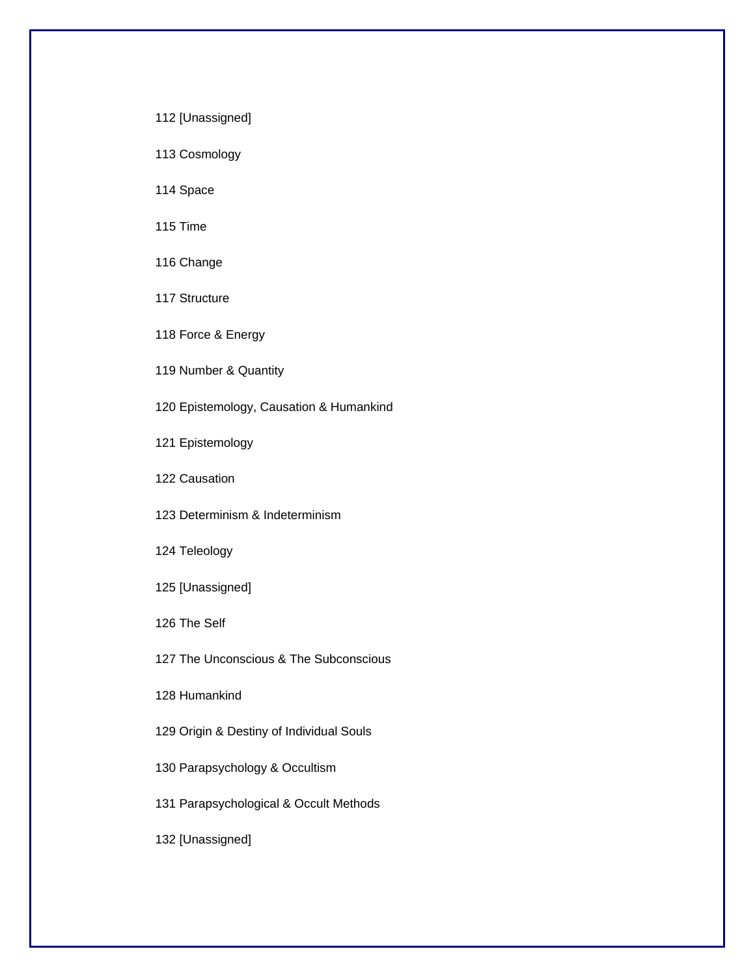112 [Unassigned]

113 Cosmology

114 Space

115 Time

116 Change

117 Structure

118 Force & Energy

119 Number & Quantity

120 Epistemology, Causation & Humankind

121 Epistemology

122 Causation

123 Determinism & Indeterminism

124 Teleology

125 [Unassigned]

126 The Self

127 The Unconscious & The Subconscious

128 Humankind

129 Origin & Destiny of Individual Souls

130 Parapsychology & Occultism

131 Parapsychological & Occult Methods

132 [Unassigned]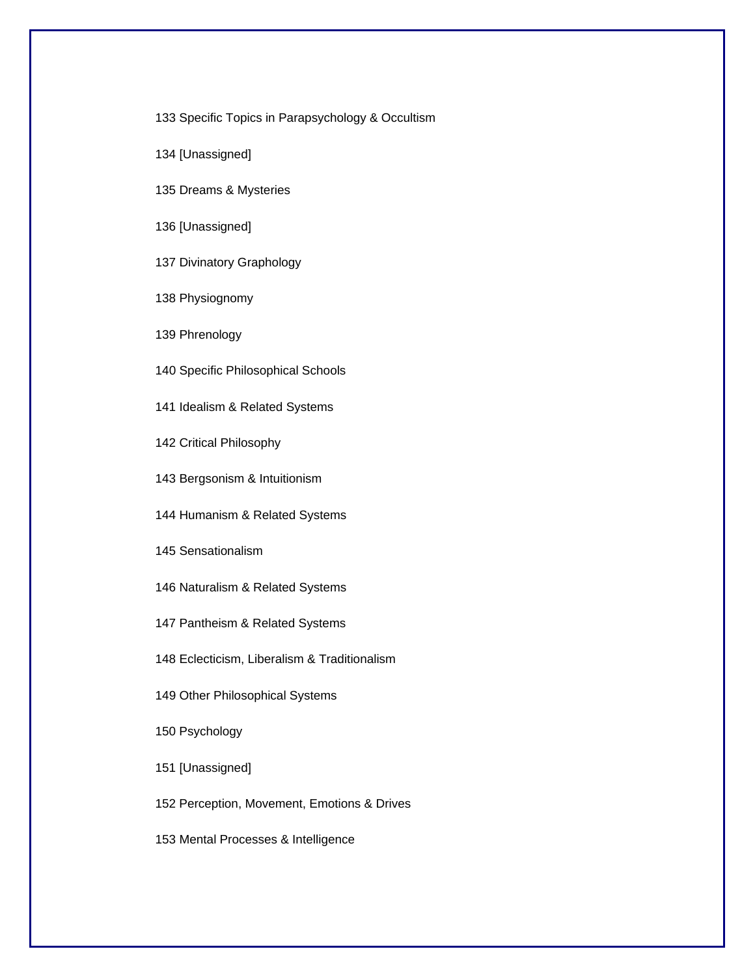133 Specific Topics in Parapsychology & Occultism

- 134 [Unassigned]
- 135 Dreams & Mysteries
- 136 [Unassigned]
- 137 Divinatory Graphology
- 138 Physiognomy
- 139 Phrenology
- 140 Specific Philosophical Schools
- 141 Idealism & Related Systems
- 142 Critical Philosophy
- 143 Bergsonism & Intuitionism
- 144 Humanism & Related Systems
- 145 Sensationalism
- 146 Naturalism & Related Systems
- 147 Pantheism & Related Systems
- 148 Eclecticism, Liberalism & Traditionalism
- 149 Other Philosophical Systems
- 150 Psychology
- 151 [Unassigned]
- 152 Perception, Movement, Emotions & Drives
- 153 Mental Processes & Intelligence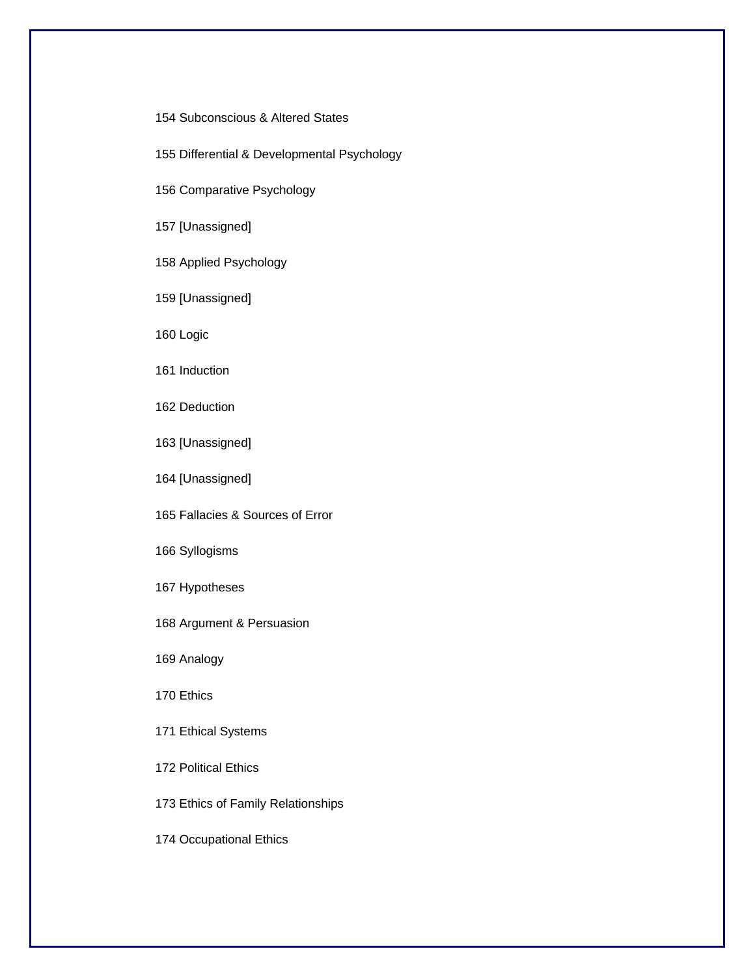## 154 Subconscious & Altered States

- 155 Differential & Developmental Psychology
- 156 Comparative Psychology

# 157 [Unassigned]

- 158 Applied Psychology
- 159 [Unassigned]
- 160 Logic
- 161 Induction
- 162 Deduction
- 163 [Unassigned]
- 164 [Unassigned]
- 165 Fallacies & Sources of Error
- 166 Syllogisms
- 167 Hypotheses
- 168 Argument & Persuasion
- 169 Analogy
- 170 Ethics
- 171 Ethical Systems
- 172 Political Ethics
- 173 Ethics of Family Relationships
- 174 Occupational Ethics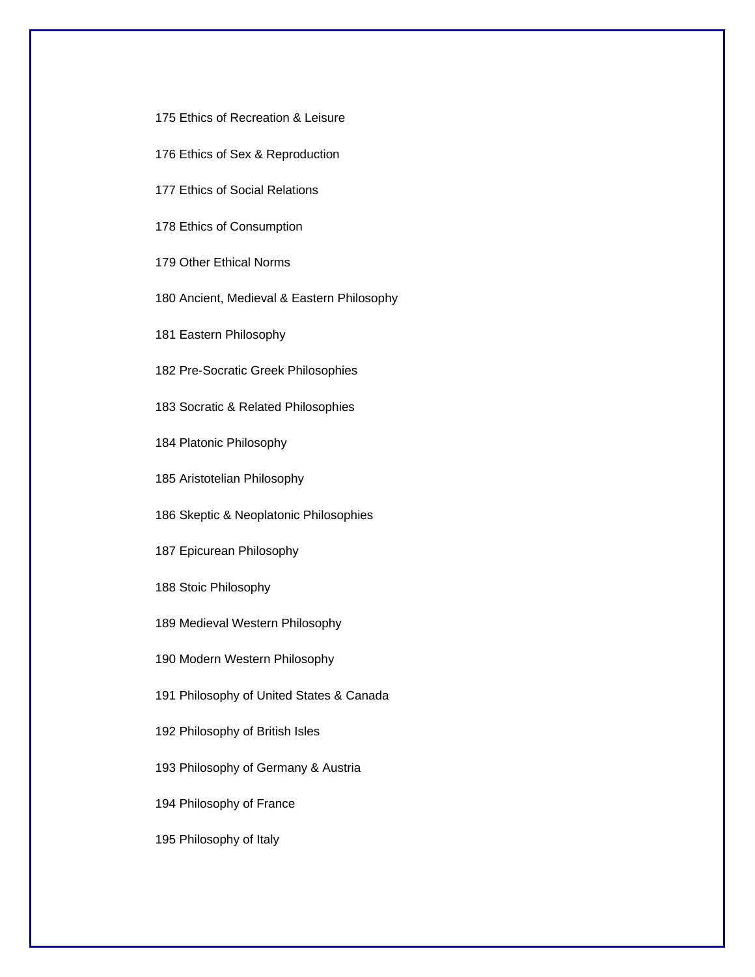- 175 Ethics of Recreation & Leisure
- 176 Ethics of Sex & Reproduction
- 177 Ethics of Social Relations
- 178 Ethics of Consumption
- 179 Other Ethical Norms
- 180 Ancient, Medieval & Eastern Philosophy
- 181 Eastern Philosophy
- 182 Pre-Socratic Greek Philosophies
- 183 Socratic & Related Philosophies
- 184 Platonic Philosophy
- 185 Aristotelian Philosophy
- 186 Skeptic & Neoplatonic Philosophies
- 187 Epicurean Philosophy
- 188 Stoic Philosophy
- 189 Medieval Western Philosophy
- 190 Modern Western Philosophy
- 191 Philosophy of United States & Canada
- 192 Philosophy of British Isles
- 193 Philosophy of Germany & Austria
- 194 Philosophy of France
- 195 Philosophy of Italy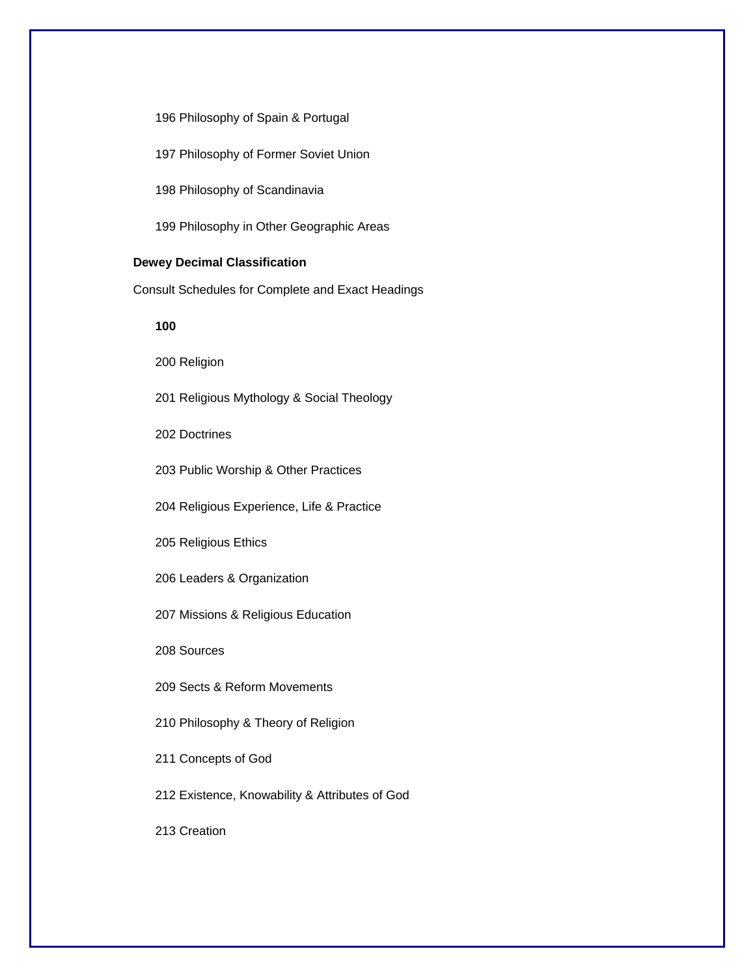196 Philosophy of Spain & Portugal

197 Philosophy of Former Soviet Union

198 Philosophy of Scandinavia

199 Philosophy in Other Geographic Areas

## **Dewey Decimal Classification**

Consult Schedules for Complete and Exact Headings

**100** 

200 Religion

201 Religious Mythology & Social Theology

202 Doctrines

203 Public Worship & Other Practices

204 Religious Experience, Life & Practice

205 Religious Ethics

206 Leaders & Organization

207 Missions & Religious Education

208 Sources

209 Sects & Reform Movements

210 Philosophy & Theory of Religion

211 Concepts of God

212 Existence, Knowability & Attributes of God

213 Creation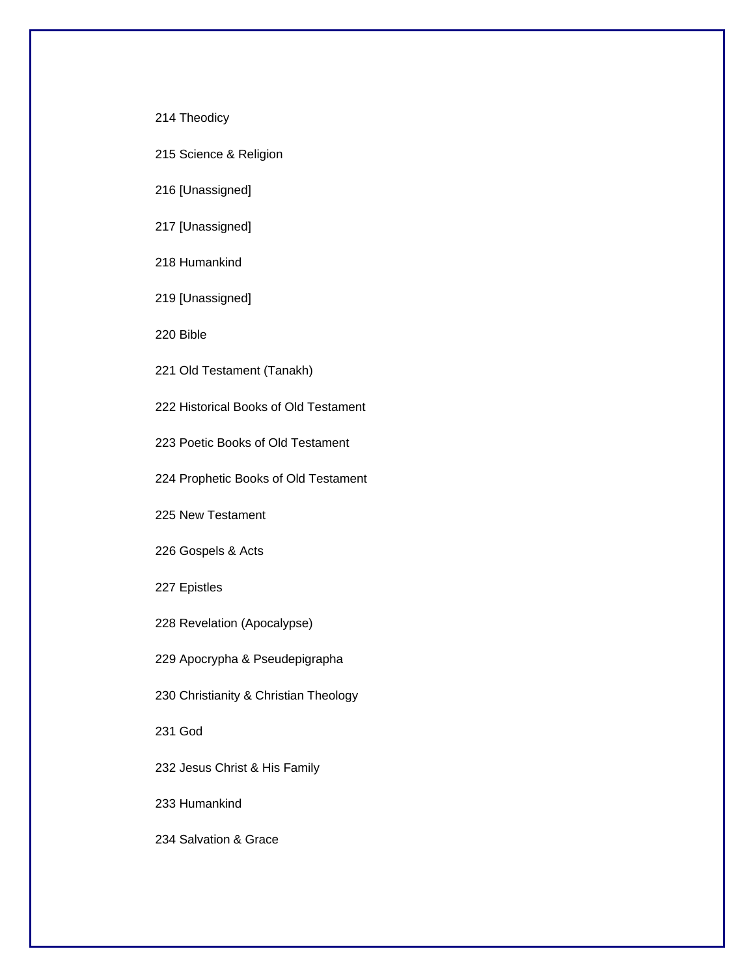214 Theodicy

215 Science & Religion

216 [Unassigned]

217 [Unassigned]

218 Humankind

219 [Unassigned]

220 Bible

221 Old Testament (Tanakh)

222 Historical Books of Old Testament

223 Poetic Books of Old Testament

224 Prophetic Books of Old Testament

225 New Testament

226 Gospels & Acts

227 Epistles

228 Revelation (Apocalypse)

229 Apocrypha & Pseudepigrapha

230 Christianity & Christian Theology

231 God

232 Jesus Christ & His Family

233 Humankind

234 Salvation & Grace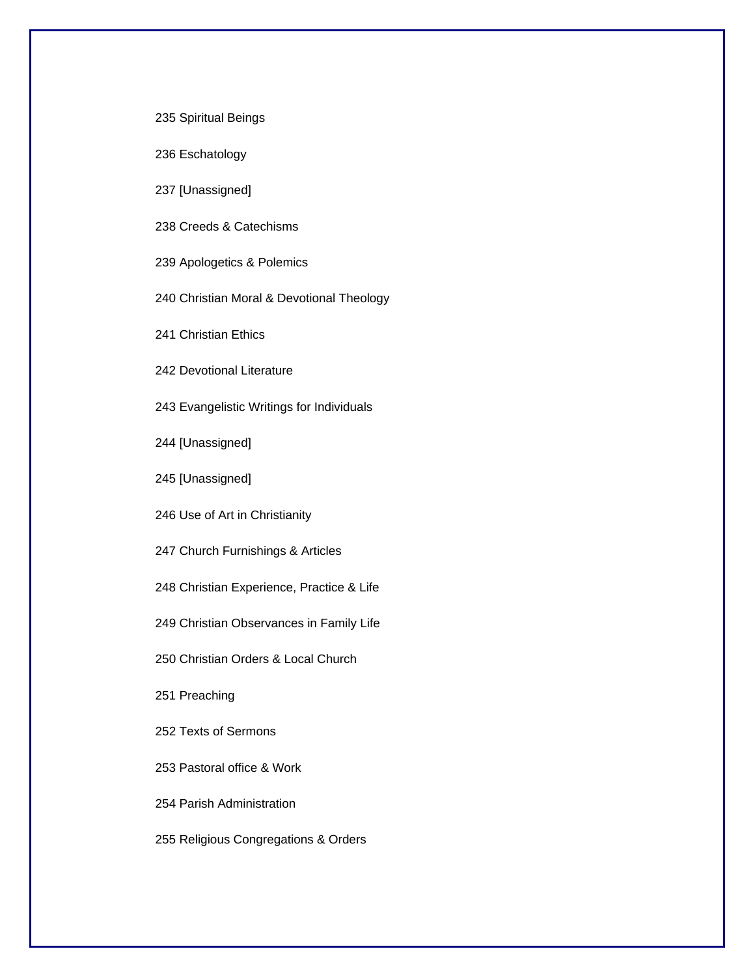235 Spiritual Beings

236 Eschatology

237 [Unassigned]

238 Creeds & Catechisms

239 Apologetics & Polemics

240 Christian Moral & Devotional Theology

241 Christian Ethics

242 Devotional Literature

243 Evangelistic Writings for Individuals

244 [Unassigned]

245 [Unassigned]

246 Use of Art in Christianity

247 Church Furnishings & Articles

248 Christian Experience, Practice & Life

249 Christian Observances in Family Life

250 Christian Orders & Local Church

251 Preaching

252 Texts of Sermons

253 Pastoral office & Work

254 Parish Administration

255 Religious Congregations & Orders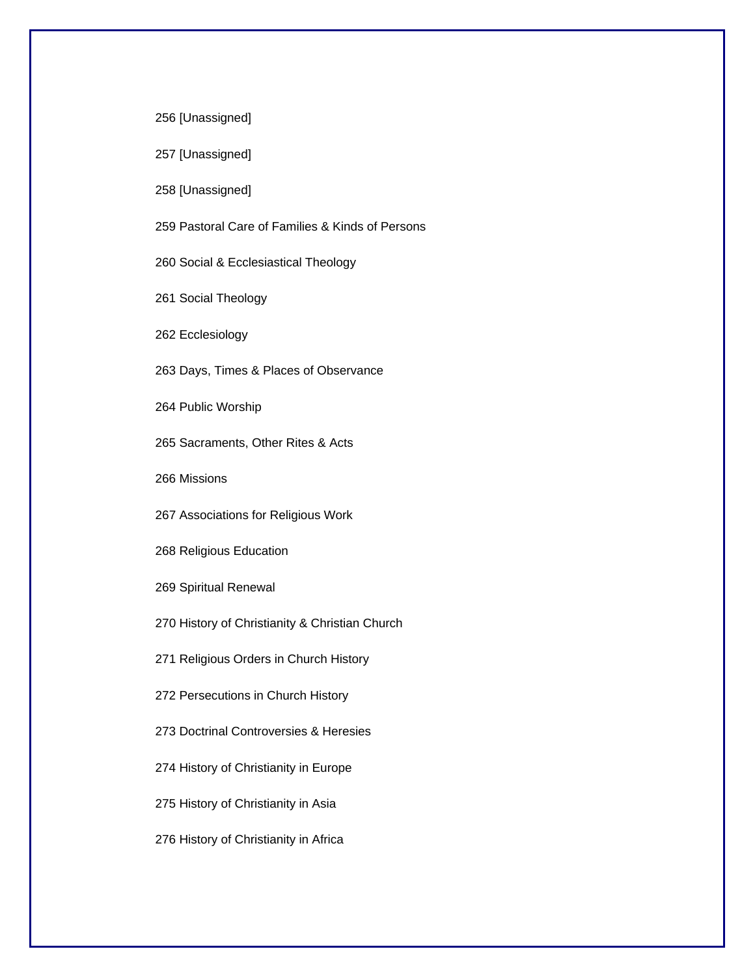256 [Unassigned]

257 [Unassigned]

258 [Unassigned]

259 Pastoral Care of Families & Kinds of Persons

260 Social & Ecclesiastical Theology

261 Social Theology

262 Ecclesiology

263 Days, Times & Places of Observance

264 Public Worship

265 Sacraments, Other Rites & Acts

266 Missions

267 Associations for Religious Work

268 Religious Education

269 Spiritual Renewal

270 History of Christianity & Christian Church

271 Religious Orders in Church History

272 Persecutions in Church History

273 Doctrinal Controversies & Heresies

274 History of Christianity in Europe

275 History of Christianity in Asia

276 History of Christianity in Africa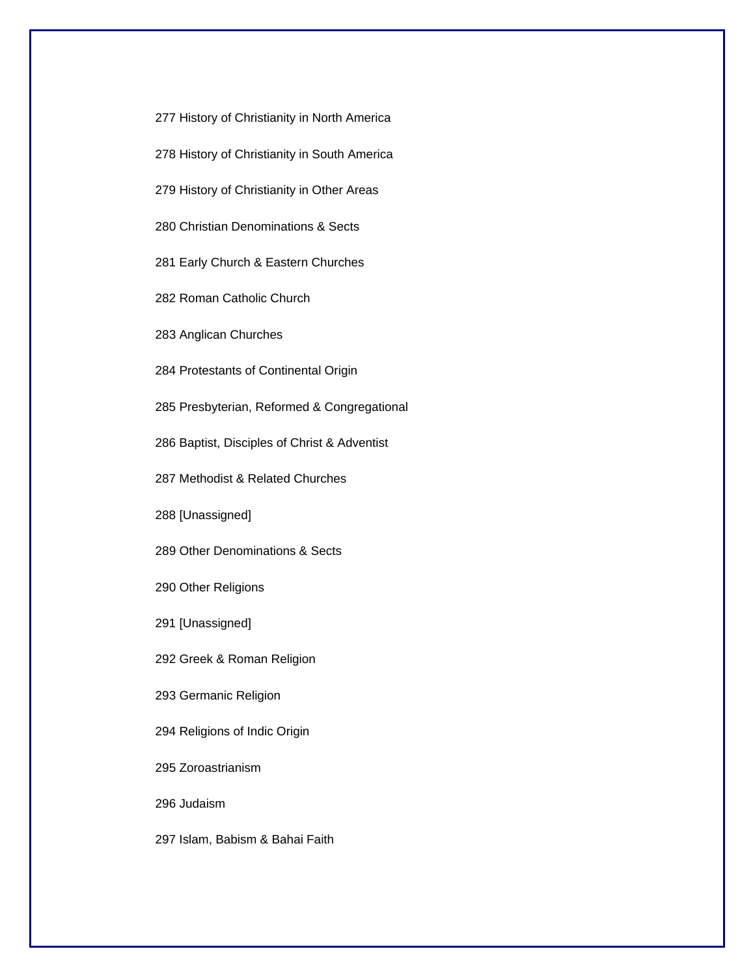277 History of Christianity in North America

278 History of Christianity in South America

279 History of Christianity in Other Areas

280 Christian Denominations & Sects

281 Early Church & Eastern Churches

282 Roman Catholic Church

283 Anglican Churches

284 Protestants of Continental Origin

285 Presbyterian, Reformed & Congregational

286 Baptist, Disciples of Christ & Adventist

287 Methodist & Related Churches

288 [Unassigned]

289 Other Denominations & Sects

290 Other Religions

291 [Unassigned]

292 Greek & Roman Religion

293 Germanic Religion

294 Religions of Indic Origin

295 Zoroastrianism

296 Judaism

297 Islam, Babism & Bahai Faith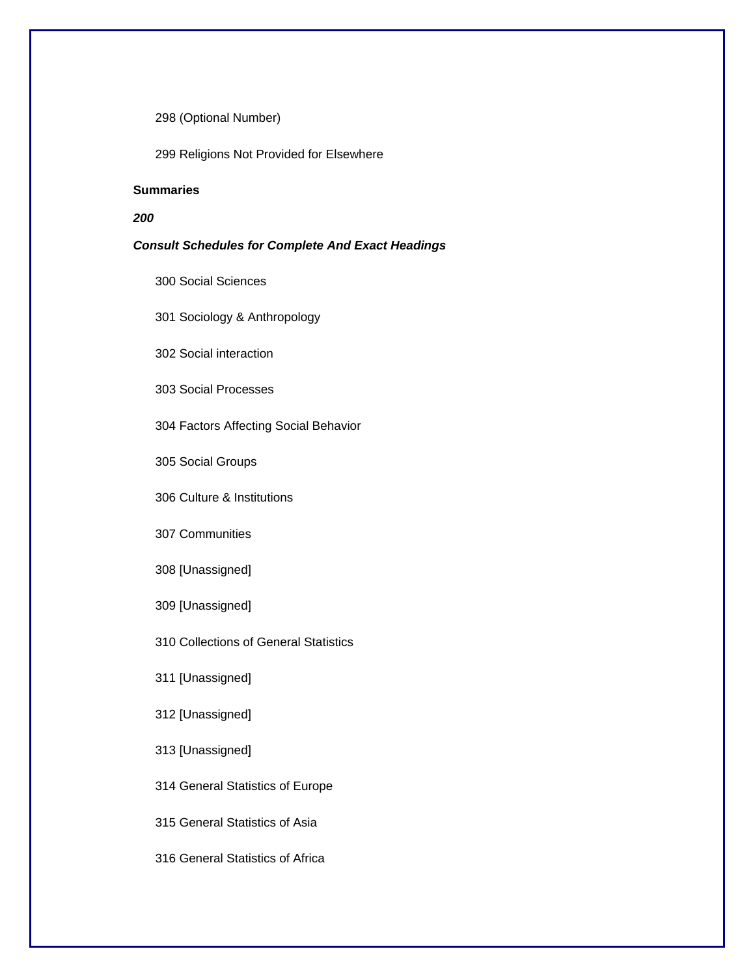298 (Optional Number)

299 Religions Not Provided for Elsewhere

## **Summaries**

## *200*

## *Consult Schedules for Complete And Exact Headings*

- 300 Social Sciences
- 301 Sociology & Anthropology
- 302 Social interaction
- 303 Social Processes
- 304 Factors Affecting Social Behavior
- 305 Social Groups
- 306 Culture & Institutions
- 307 Communities
- 308 [Unassigned]
- 309 [Unassigned]
- 310 Collections of General Statistics
- 311 [Unassigned]
- 312 [Unassigned]
- 313 [Unassigned]
- 314 General Statistics of Europe
- 315 General Statistics of Asia
- 316 General Statistics of Africa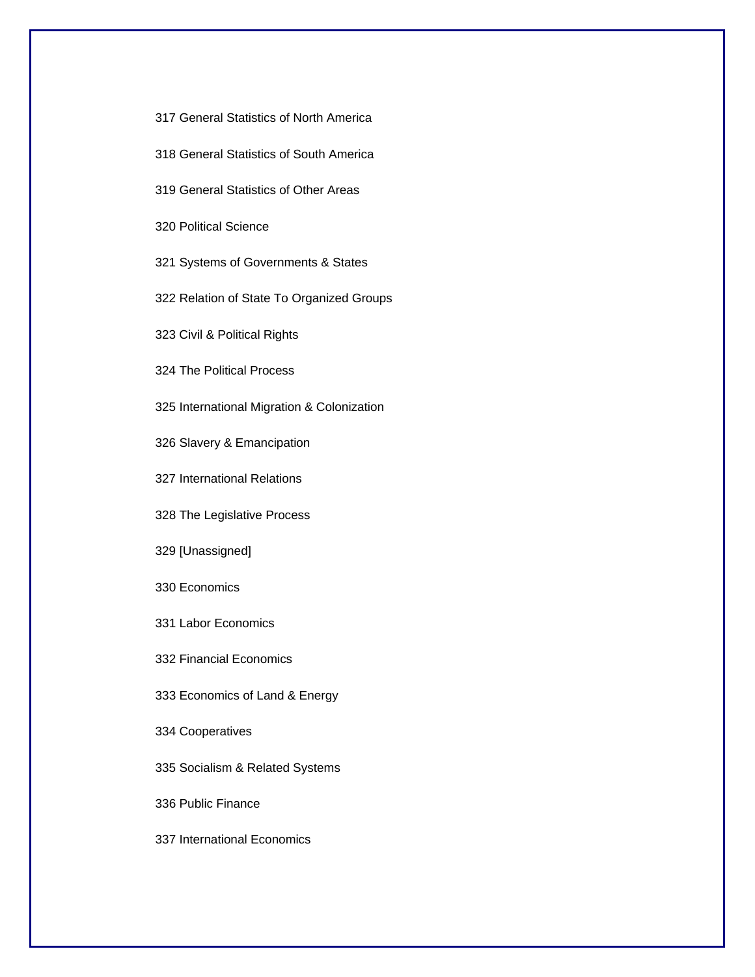- 317 General Statistics of North America
- 318 General Statistics of South America
- 319 General Statistics of Other Areas

320 Political Science

- 321 Systems of Governments & States
- 322 Relation of State To Organized Groups
- 323 Civil & Political Rights

324 The Political Process

325 International Migration & Colonization

- 326 Slavery & Emancipation
- 327 International Relations

328 The Legislative Process

329 [Unassigned]

- 330 Economics
- 331 Labor Economics

332 Financial Economics

333 Economics of Land & Energy

334 Cooperatives

335 Socialism & Related Systems

336 Public Finance

337 International Economics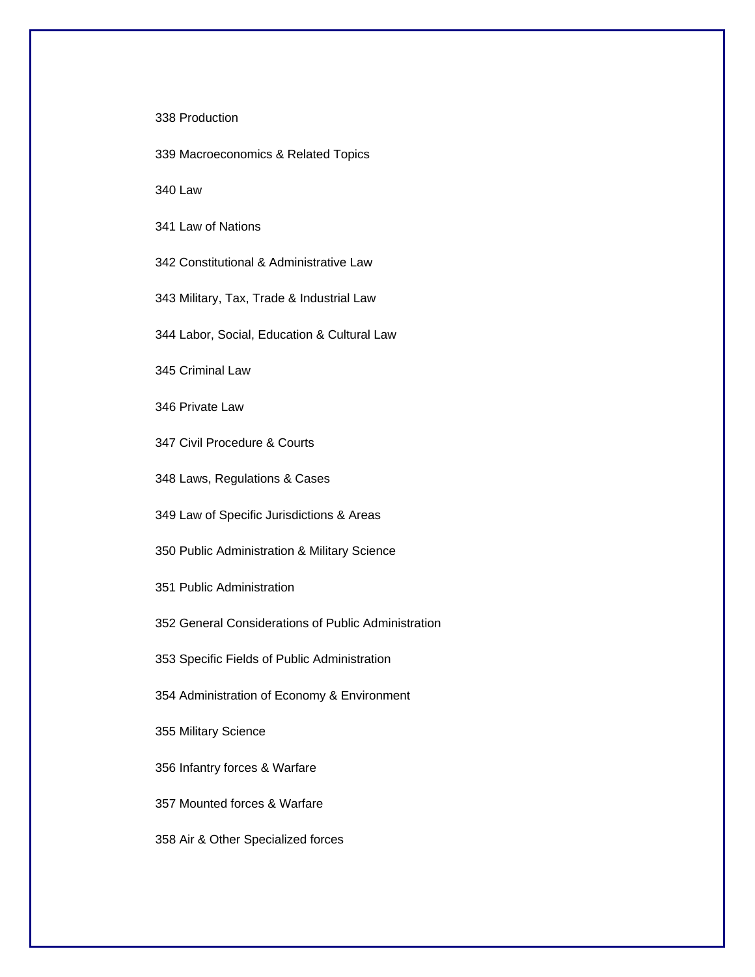338 Production

339 Macroeconomics & Related Topics

340 Law

341 Law of Nations

342 Constitutional & Administrative Law

343 Military, Tax, Trade & Industrial Law

344 Labor, Social, Education & Cultural Law

345 Criminal Law

346 Private Law

347 Civil Procedure & Courts

348 Laws, Regulations & Cases

349 Law of Specific Jurisdictions & Areas

350 Public Administration & Military Science

351 Public Administration

352 General Considerations of Public Administration

353 Specific Fields of Public Administration

354 Administration of Economy & Environment

355 Military Science

356 Infantry forces & Warfare

357 Mounted forces & Warfare

358 Air & Other Specialized forces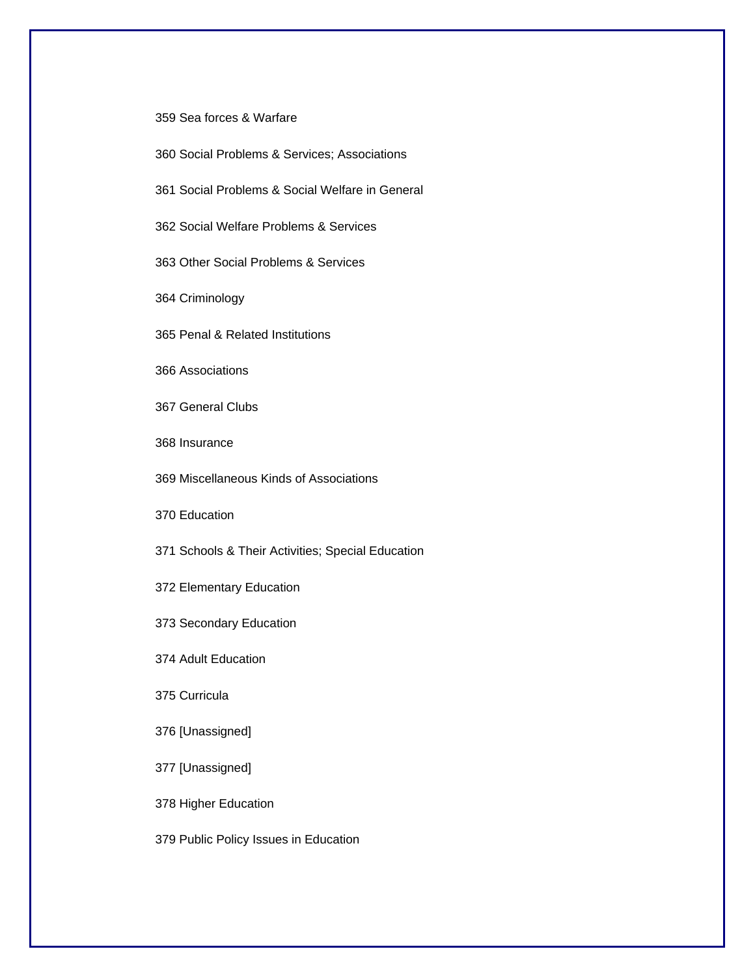359 Sea forces & Warfare

360 Social Problems & Services; Associations

361 Social Problems & Social Welfare in General

362 Social Welfare Problems & Services

363 Other Social Problems & Services

364 Criminology

365 Penal & Related Institutions

366 Associations

367 General Clubs

368 Insurance

369 Miscellaneous Kinds of Associations

370 Education

371 Schools & Their Activities; Special Education

372 Elementary Education

373 Secondary Education

374 Adult Education

375 Curricula

376 [Unassigned]

377 [Unassigned]

378 Higher Education

379 Public Policy Issues in Education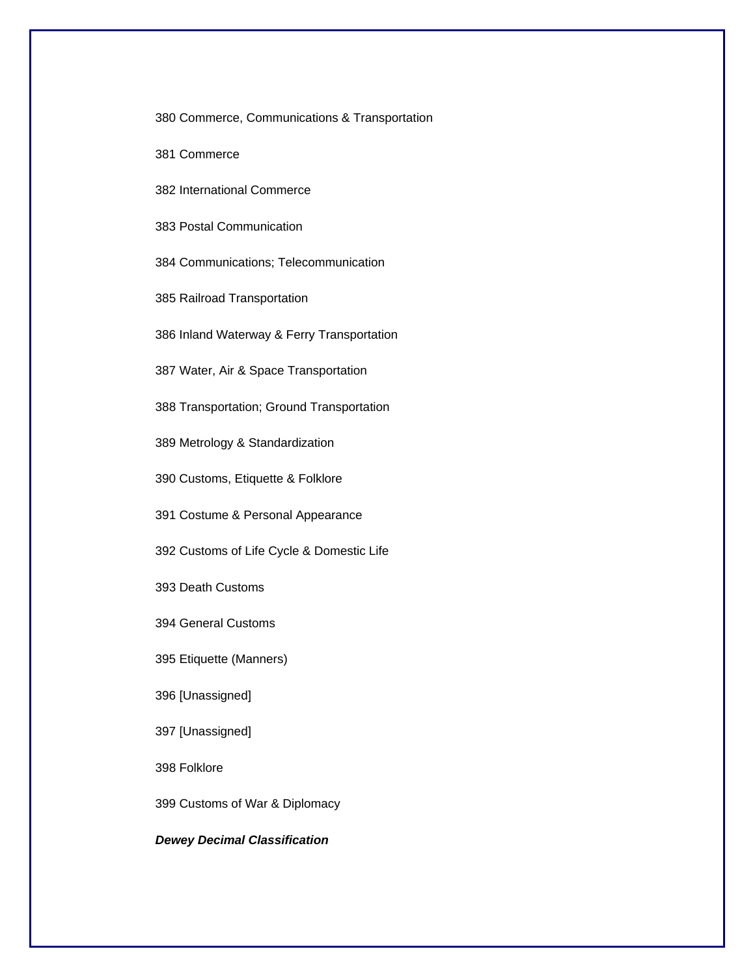380 Commerce, Communications & Transportation

381 Commerce

382 International Commerce

383 Postal Communication

384 Communications; Telecommunication

385 Railroad Transportation

386 Inland Waterway & Ferry Transportation

387 Water, Air & Space Transportation

388 Transportation; Ground Transportation

389 Metrology & Standardization

390 Customs, Etiquette & Folklore

391 Costume & Personal Appearance

392 Customs of Life Cycle & Domestic Life

393 Death Customs

394 General Customs

395 Etiquette (Manners)

396 [Unassigned]

397 [Unassigned]

398 Folklore

399 Customs of War & Diplomacy

*Dewey Decimal Classification*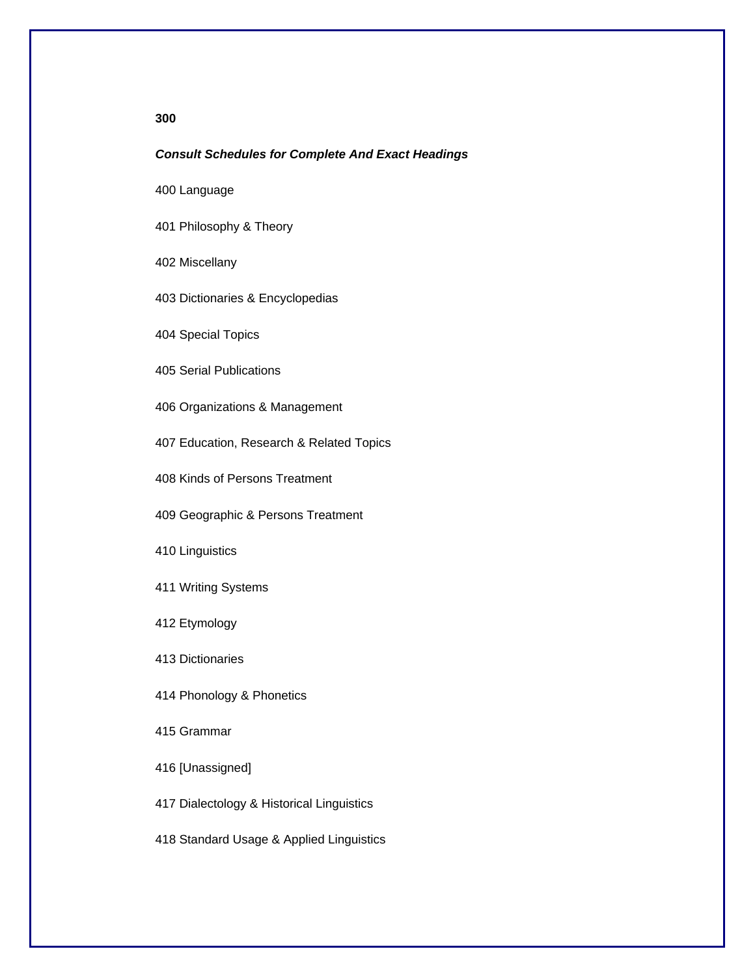# **300**

#### *Consult Schedules for Complete And Exact Headings*

400 Language

401 Philosophy & Theory

402 Miscellany

403 Dictionaries & Encyclopedias

404 Special Topics

405 Serial Publications

406 Organizations & Management

407 Education, Research & Related Topics

408 Kinds of Persons Treatment

409 Geographic & Persons Treatment

410 Linguistics

411 Writing Systems

412 Etymology

413 Dictionaries

414 Phonology & Phonetics

415 Grammar

416 [Unassigned]

417 Dialectology & Historical Linguistics

418 Standard Usage & Applied Linguistics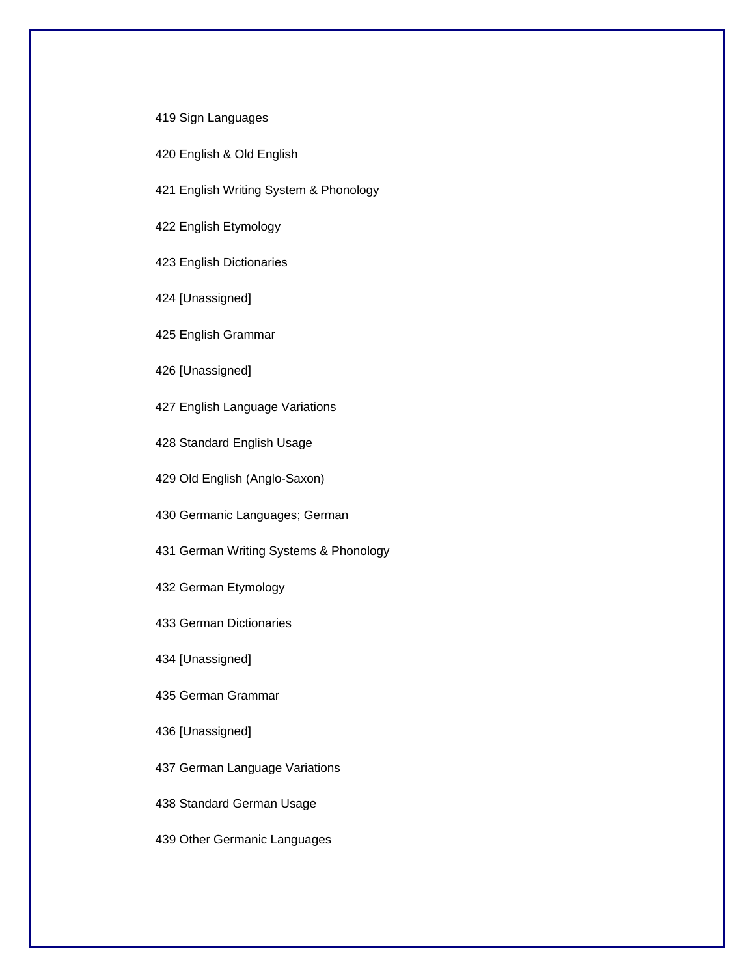## 419 Sign Languages

- 420 English & Old English
- 421 English Writing System & Phonology

422 English Etymology

423 English Dictionaries

424 [Unassigned]

425 English Grammar

426 [Unassigned]

427 English Language Variations

428 Standard English Usage

429 Old English (Anglo-Saxon)

430 Germanic Languages; German

431 German Writing Systems & Phonology

432 German Etymology

433 German Dictionaries

434 [Unassigned]

435 German Grammar

436 [Unassigned]

437 German Language Variations

438 Standard German Usage

439 Other Germanic Languages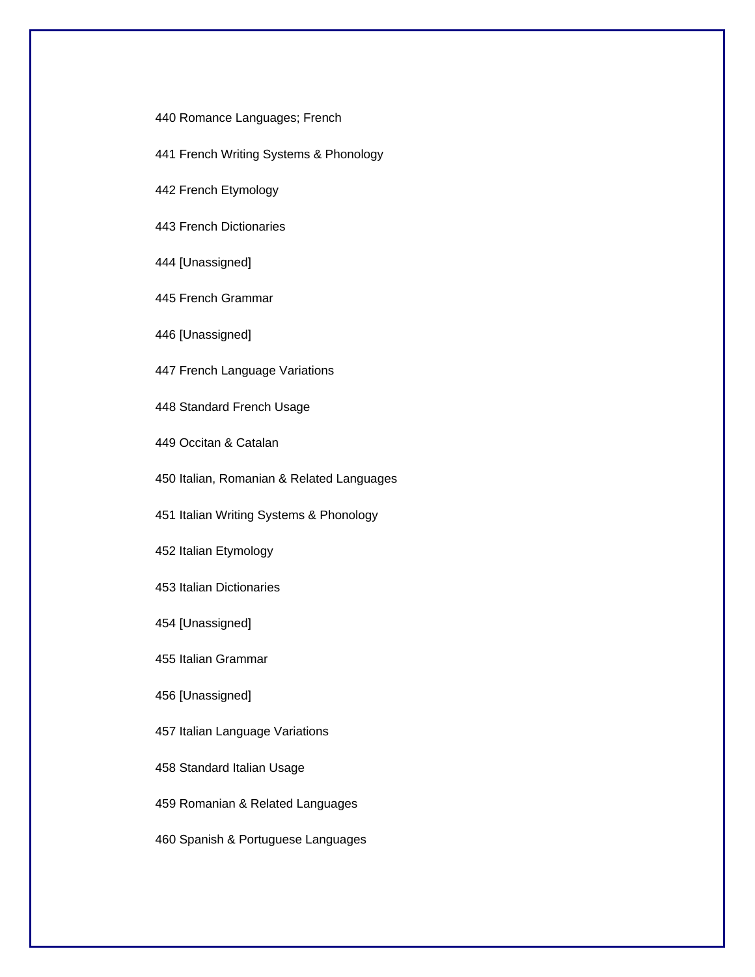440 Romance Languages; French

441 French Writing Systems & Phonology

442 French Etymology

443 French Dictionaries

444 [Unassigned]

445 French Grammar

446 [Unassigned]

447 French Language Variations

448 Standard French Usage

449 Occitan & Catalan

450 Italian, Romanian & Related Languages

451 Italian Writing Systems & Phonology

452 Italian Etymology

453 Italian Dictionaries

454 [Unassigned]

455 Italian Grammar

456 [Unassigned]

457 Italian Language Variations

458 Standard Italian Usage

459 Romanian & Related Languages

460 Spanish & Portuguese Languages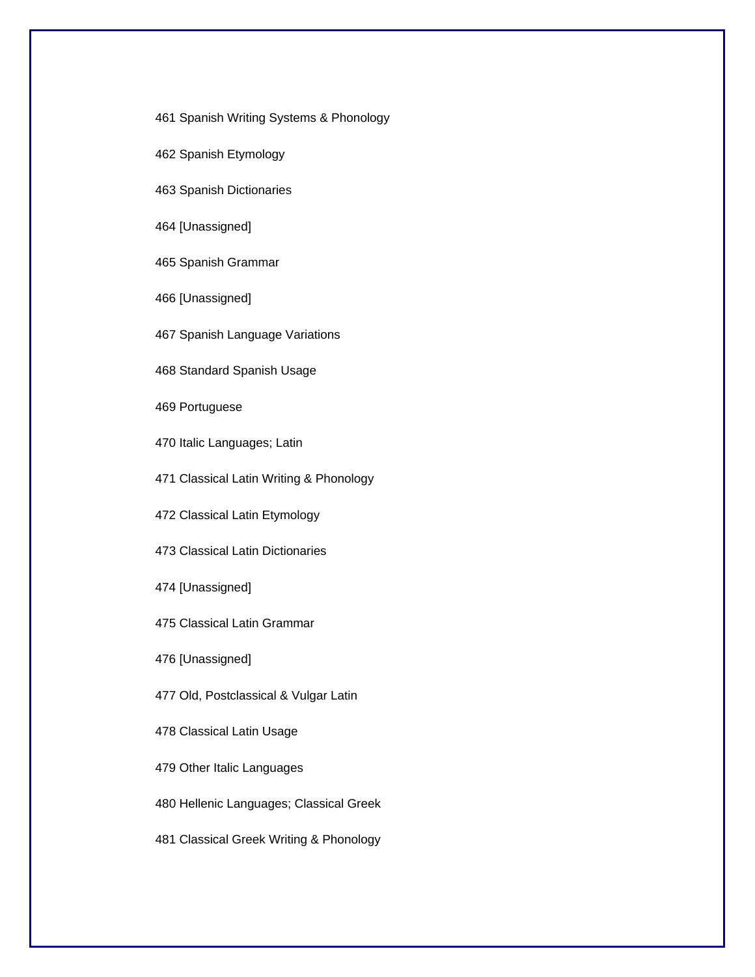- 461 Spanish Writing Systems & Phonology
- 462 Spanish Etymology
- 463 Spanish Dictionaries
- 464 [Unassigned]
- 465 Spanish Grammar
- 466 [Unassigned]
- 467 Spanish Language Variations
- 468 Standard Spanish Usage
- 469 Portuguese
- 470 Italic Languages; Latin
- 471 Classical Latin Writing & Phonology
- 472 Classical Latin Etymology
- 473 Classical Latin Dictionaries
- 474 [Unassigned]
- 475 Classical Latin Grammar
- 476 [Unassigned]
- 477 Old, Postclassical & Vulgar Latin
- 478 Classical Latin Usage
- 479 Other Italic Languages
- 480 Hellenic Languages; Classical Greek
- 481 Classical Greek Writing & Phonology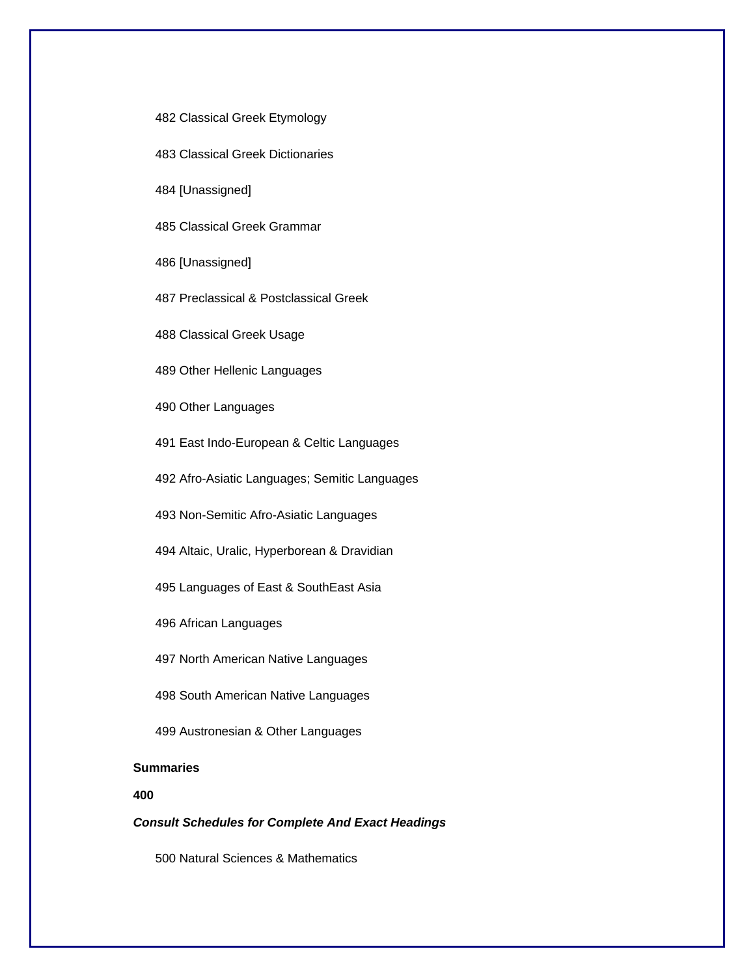- 482 Classical Greek Etymology
- 483 Classical Greek Dictionaries
- 484 [Unassigned]

485 Classical Greek Grammar

486 [Unassigned]

487 Preclassical & Postclassical Greek

488 Classical Greek Usage

489 Other Hellenic Languages

490 Other Languages

491 East Indo-European & Celtic Languages

492 Afro-Asiatic Languages; Semitic Languages

493 Non-Semitic Afro-Asiatic Languages

494 Altaic, Uralic, Hyperborean & Dravidian

495 Languages of East & SouthEast Asia

496 African Languages

497 North American Native Languages

498 South American Native Languages

499 Austronesian & Other Languages

# **Summaries**

**400** 

*Consult Schedules for Complete And Exact Headings* 

500 Natural Sciences & Mathematics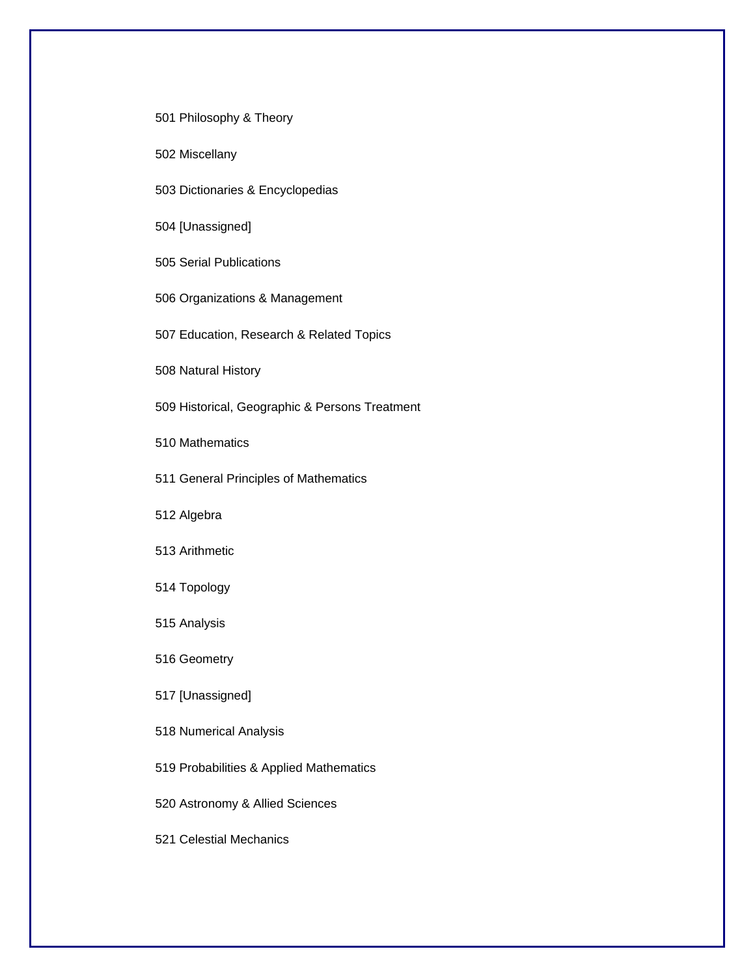501 Philosophy & Theory

502 Miscellany

503 Dictionaries & Encyclopedias

504 [Unassigned]

505 Serial Publications

506 Organizations & Management

507 Education, Research & Related Topics

508 Natural History

509 Historical, Geographic & Persons Treatment

510 Mathematics

511 General Principles of Mathematics

512 Algebra

513 Arithmetic

514 Topology

515 Analysis

516 Geometry

517 [Unassigned]

518 Numerical Analysis

519 Probabilities & Applied Mathematics

520 Astronomy & Allied Sciences

521 Celestial Mechanics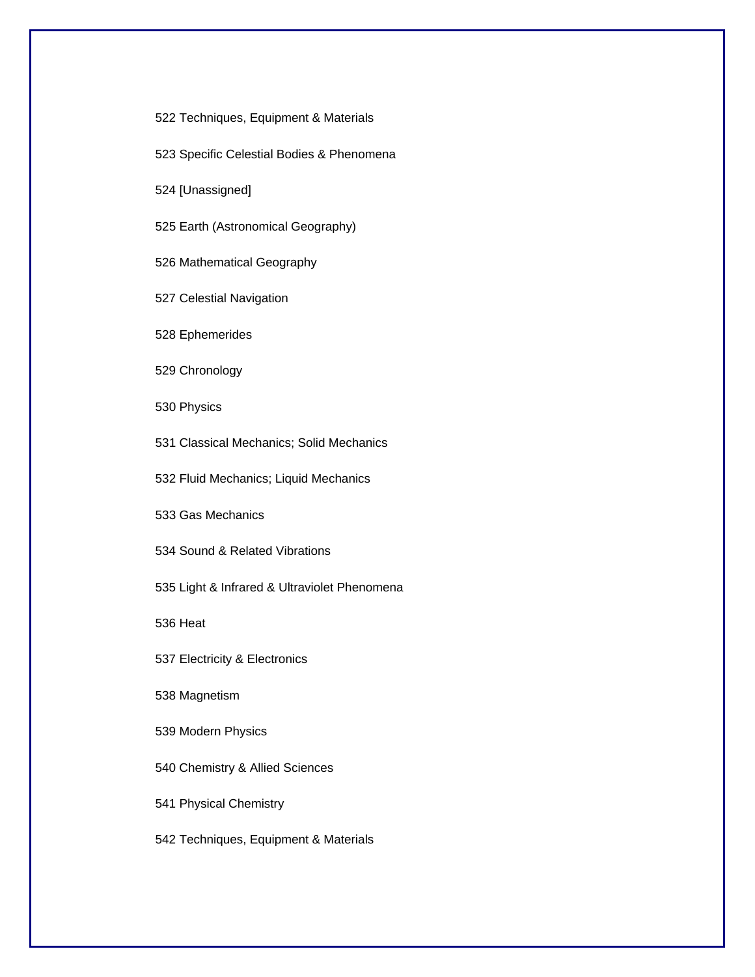522 Techniques, Equipment & Materials

523 Specific Celestial Bodies & Phenomena

524 [Unassigned]

525 Earth (Astronomical Geography)

526 Mathematical Geography

527 Celestial Navigation

528 Ephemerides

529 Chronology

530 Physics

531 Classical Mechanics; Solid Mechanics

532 Fluid Mechanics; Liquid Mechanics

533 Gas Mechanics

534 Sound & Related Vibrations

535 Light & Infrared & Ultraviolet Phenomena

536 Heat

537 Electricity & Electronics

538 Magnetism

539 Modern Physics

540 Chemistry & Allied Sciences

541 Physical Chemistry

542 Techniques, Equipment & Materials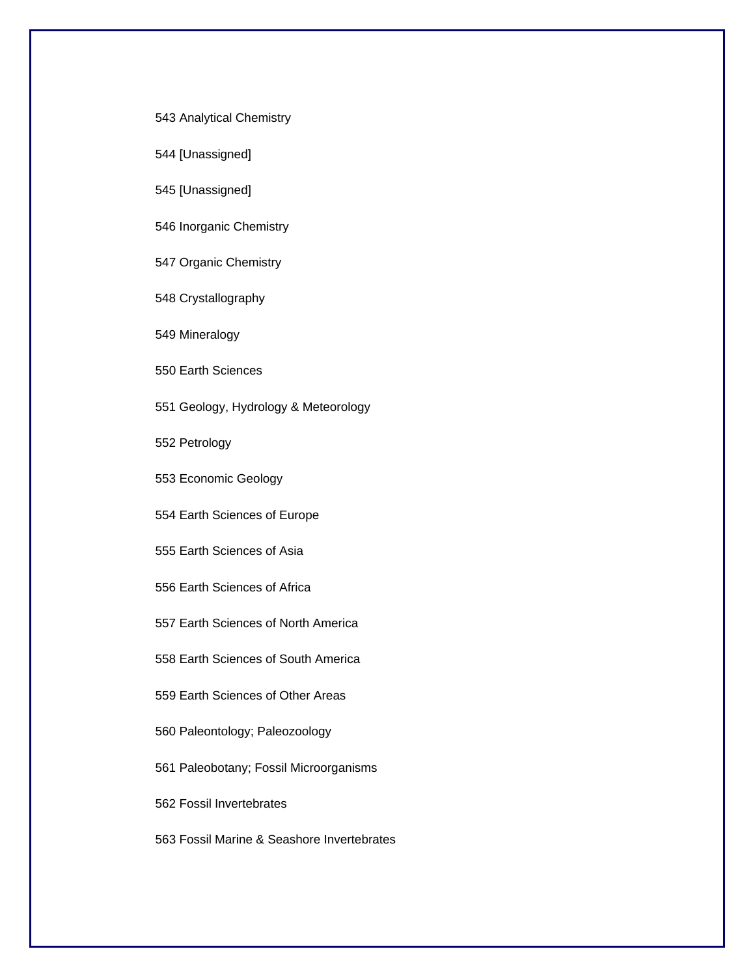- 543 Analytical Chemistry
- 544 [Unassigned]
- 545 [Unassigned]
- 546 Inorganic Chemistry
- 547 Organic Chemistry
- 548 Crystallography
- 549 Mineralogy
- 550 Earth Sciences
- 551 Geology, Hydrology & Meteorology
- 552 Petrology
- 553 Economic Geology
- 554 Earth Sciences of Europe
- 555 Earth Sciences of Asia
- 556 Earth Sciences of Africa
- 557 Earth Sciences of North America
- 558 Earth Sciences of South America
- 559 Earth Sciences of Other Areas
- 560 Paleontology; Paleozoology
- 561 Paleobotany; Fossil Microorganisms
- 562 Fossil Invertebrates
- 563 Fossil Marine & Seashore Invertebrates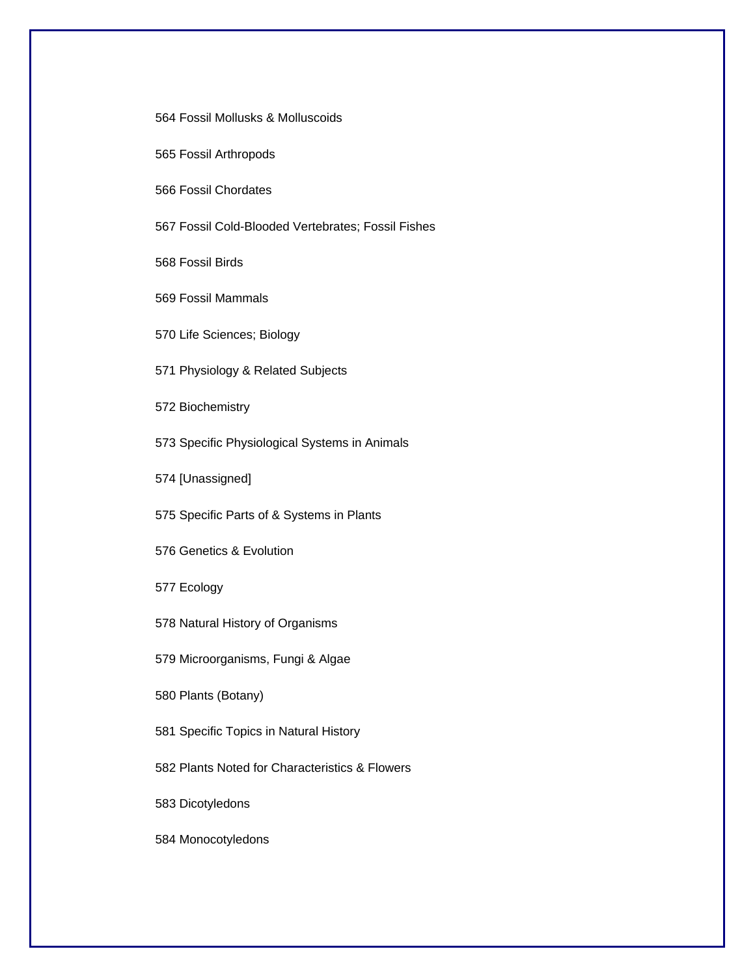564 Fossil Mollusks & Molluscoids

565 Fossil Arthropods

566 Fossil Chordates

567 Fossil Cold-Blooded Vertebrates; Fossil Fishes

568 Fossil Birds

569 Fossil Mammals

570 Life Sciences; Biology

571 Physiology & Related Subjects

572 Biochemistry

573 Specific Physiological Systems in Animals

574 [Unassigned]

575 Specific Parts of & Systems in Plants

576 Genetics & Evolution

577 Ecology

578 Natural History of Organisms

579 Microorganisms, Fungi & Algae

580 Plants (Botany)

581 Specific Topics in Natural History

582 Plants Noted for Characteristics & Flowers

583 Dicotyledons

584 Monocotyledons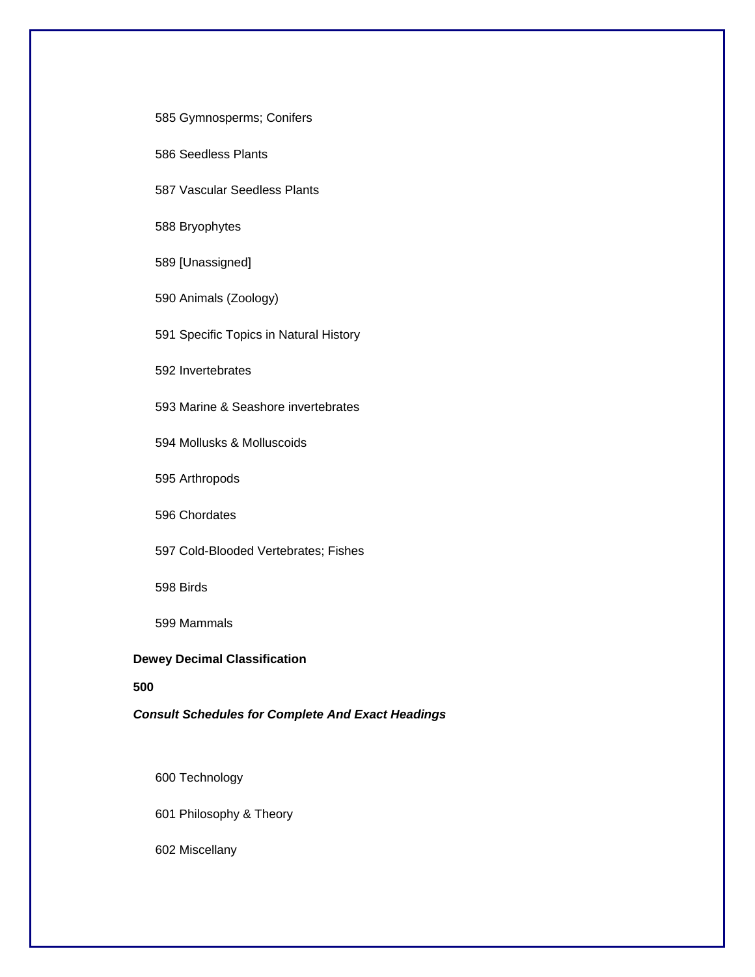585 Gymnosperms; Conifers

586 Seedless Plants

587 Vascular Seedless Plants

588 Bryophytes

589 [Unassigned]

590 Animals (Zoology)

591 Specific Topics in Natural History

592 Invertebrates

593 Marine & Seashore invertebrates

594 Mollusks & Molluscoids

595 Arthropods

596 Chordates

597 Cold-Blooded Vertebrates; Fishes

598 Birds

599 Mammals

# **Dewey Decimal Classification**

## **500**

## *Consult Schedules for Complete And Exact Headings*

600 Technology

601 Philosophy & Theory

602 Miscellany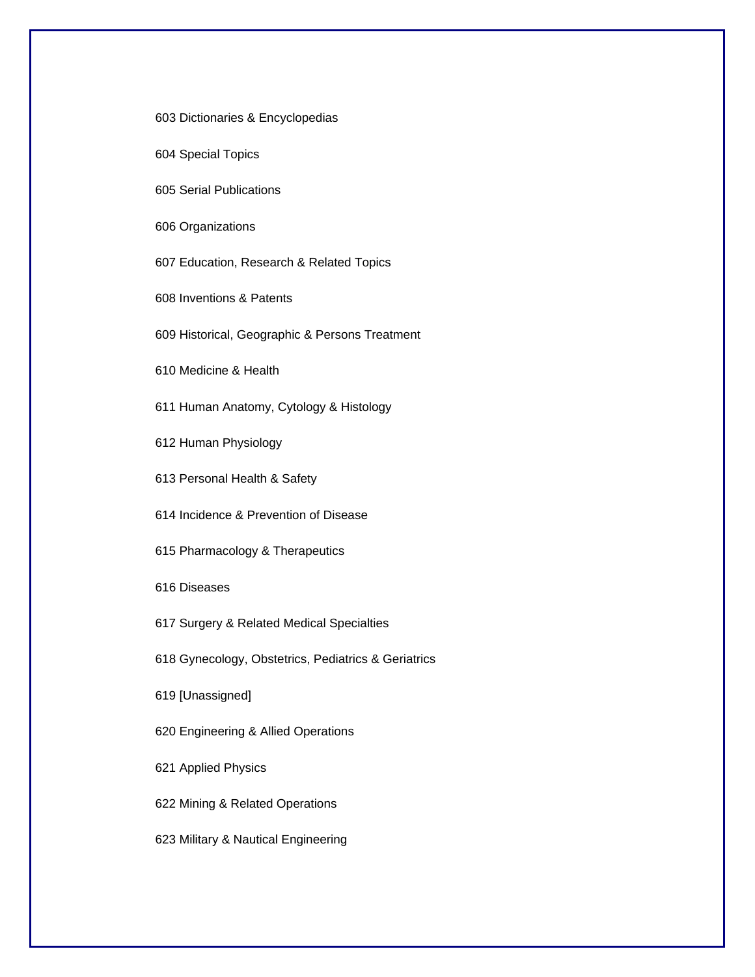603 Dictionaries & Encyclopedias

604 Special Topics

605 Serial Publications

606 Organizations

607 Education, Research & Related Topics

608 Inventions & Patents

609 Historical, Geographic & Persons Treatment

610 Medicine & Health

611 Human Anatomy, Cytology & Histology

612 Human Physiology

613 Personal Health & Safety

614 Incidence & Prevention of Disease

615 Pharmacology & Therapeutics

616 Diseases

617 Surgery & Related Medical Specialties

618 Gynecology, Obstetrics, Pediatrics & Geriatrics

619 [Unassigned]

620 Engineering & Allied Operations

621 Applied Physics

622 Mining & Related Operations

623 Military & Nautical Engineering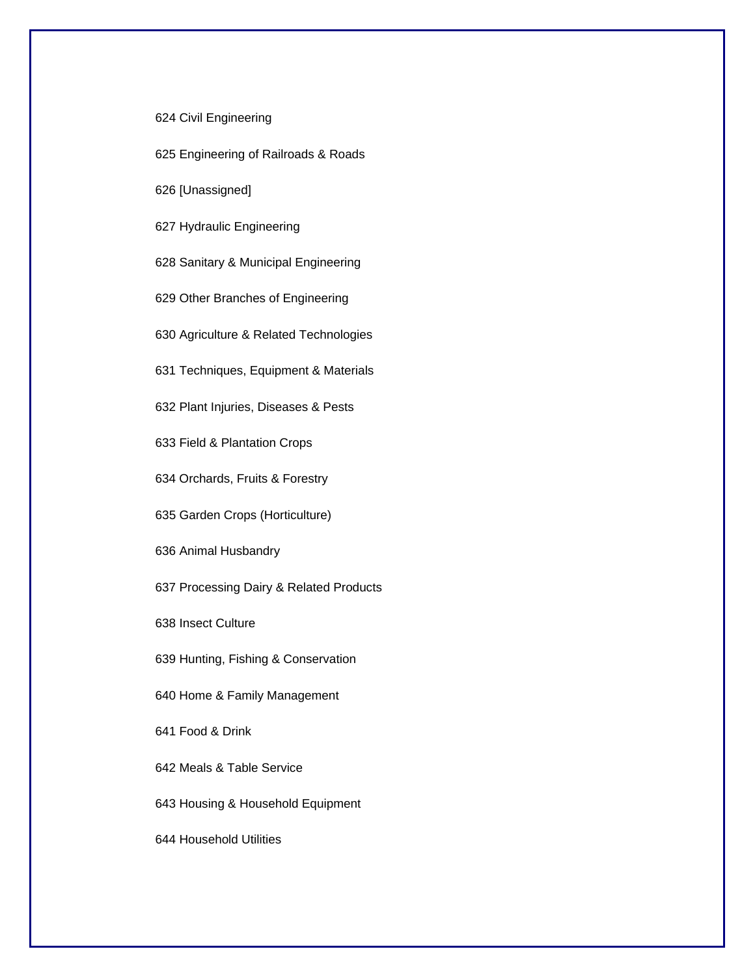#### 624 Civil Engineering

625 Engineering of Railroads & Roads

626 [Unassigned]

627 Hydraulic Engineering

628 Sanitary & Municipal Engineering

629 Other Branches of Engineering

630 Agriculture & Related Technologies

631 Techniques, Equipment & Materials

632 Plant Injuries, Diseases & Pests

633 Field & Plantation Crops

634 Orchards, Fruits & Forestry

635 Garden Crops (Horticulture)

636 Animal Husbandry

637 Processing Dairy & Related Products

638 Insect Culture

639 Hunting, Fishing & Conservation

640 Home & Family Management

641 Food & Drink

642 Meals & Table Service

643 Housing & Household Equipment

644 Household Utilities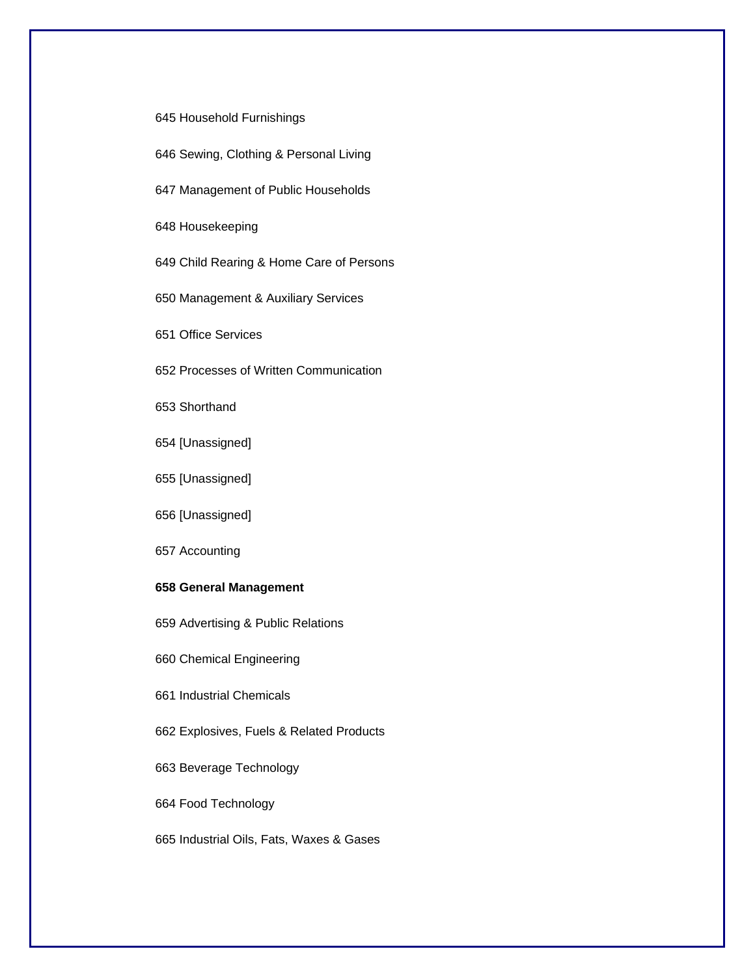645 Household Furnishings

- 646 Sewing, Clothing & Personal Living
- 647 Management of Public Households

648 Housekeeping

649 Child Rearing & Home Care of Persons

650 Management & Auxiliary Services

651 Office Services

652 Processes of Written Communication

653 Shorthand

654 [Unassigned]

655 [Unassigned]

656 [Unassigned]

657 Accounting

#### **658 General Management**

659 Advertising & Public Relations

660 Chemical Engineering

661 Industrial Chemicals

662 Explosives, Fuels & Related Products

663 Beverage Technology

664 Food Technology

665 Industrial Oils, Fats, Waxes & Gases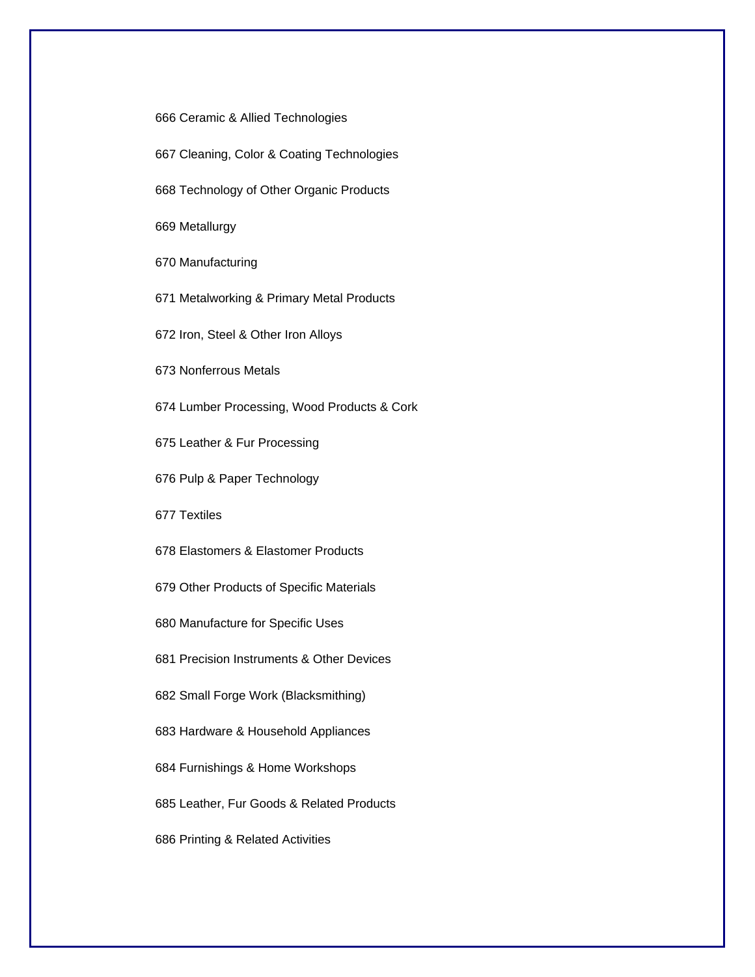666 Ceramic & Allied Technologies

667 Cleaning, Color & Coating Technologies

668 Technology of Other Organic Products

669 Metallurgy

670 Manufacturing

671 Metalworking & Primary Metal Products

672 Iron, Steel & Other Iron Alloys

673 Nonferrous Metals

674 Lumber Processing, Wood Products & Cork

675 Leather & Fur Processing

676 Pulp & Paper Technology

677 Textiles

678 Elastomers & Elastomer Products

679 Other Products of Specific Materials

680 Manufacture for Specific Uses

681 Precision Instruments & Other Devices

682 Small Forge Work (Blacksmithing)

683 Hardware & Household Appliances

684 Furnishings & Home Workshops

685 Leather, Fur Goods & Related Products

686 Printing & Related Activities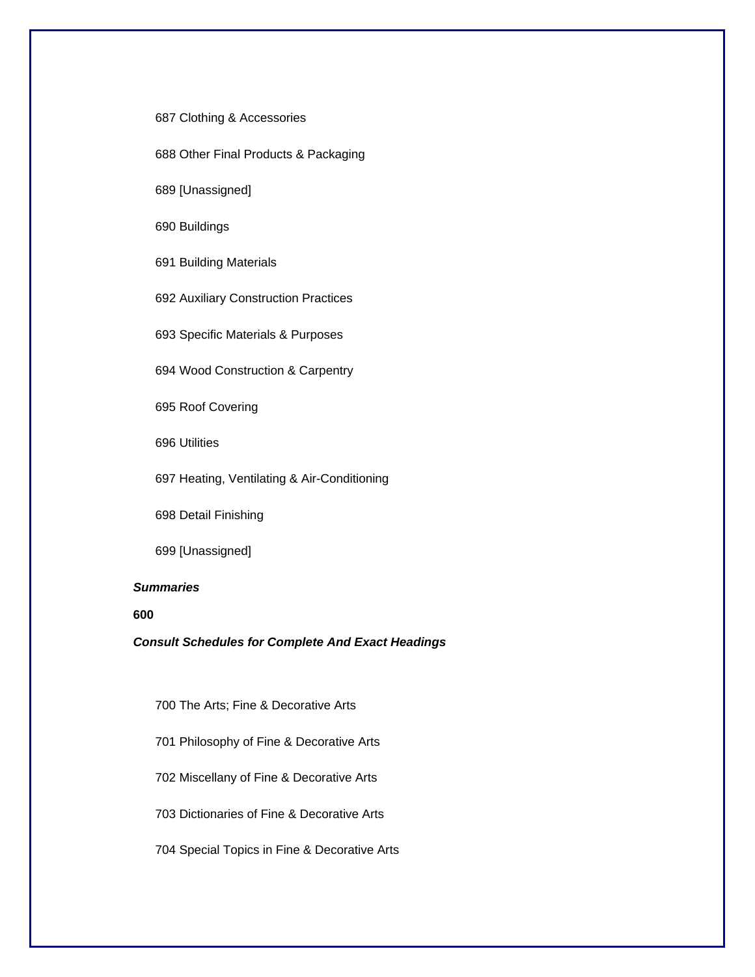687 Clothing & Accessories

688 Other Final Products & Packaging

689 [Unassigned]

690 Buildings

691 Building Materials

692 Auxiliary Construction Practices

693 Specific Materials & Purposes

694 Wood Construction & Carpentry

695 Roof Covering

696 Utilities

697 Heating, Ventilating & Air-Conditioning

698 Detail Finishing

699 [Unassigned]

## *Summaries*

#### **600**

*Consult Schedules for Complete And Exact Headings* 

700 The Arts; Fine & Decorative Arts

701 Philosophy of Fine & Decorative Arts

702 Miscellany of Fine & Decorative Arts

703 Dictionaries of Fine & Decorative Arts

704 Special Topics in Fine & Decorative Arts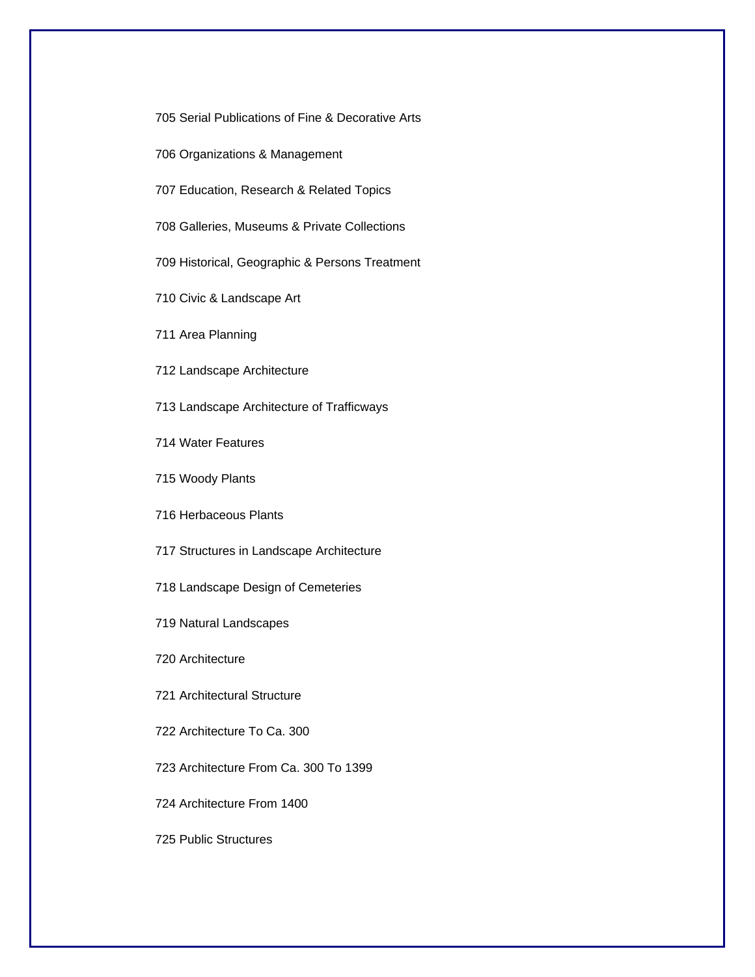705 Serial Publications of Fine & Decorative Arts

706 Organizations & Management

707 Education, Research & Related Topics

708 Galleries, Museums & Private Collections

709 Historical, Geographic & Persons Treatment

710 Civic & Landscape Art

711 Area Planning

712 Landscape Architecture

713 Landscape Architecture of Trafficways

714 Water Features

715 Woody Plants

716 Herbaceous Plants

717 Structures in Landscape Architecture

718 Landscape Design of Cemeteries

719 Natural Landscapes

720 Architecture

721 Architectural Structure

722 Architecture To Ca. 300

723 Architecture From Ca. 300 To 1399

724 Architecture From 1400

725 Public Structures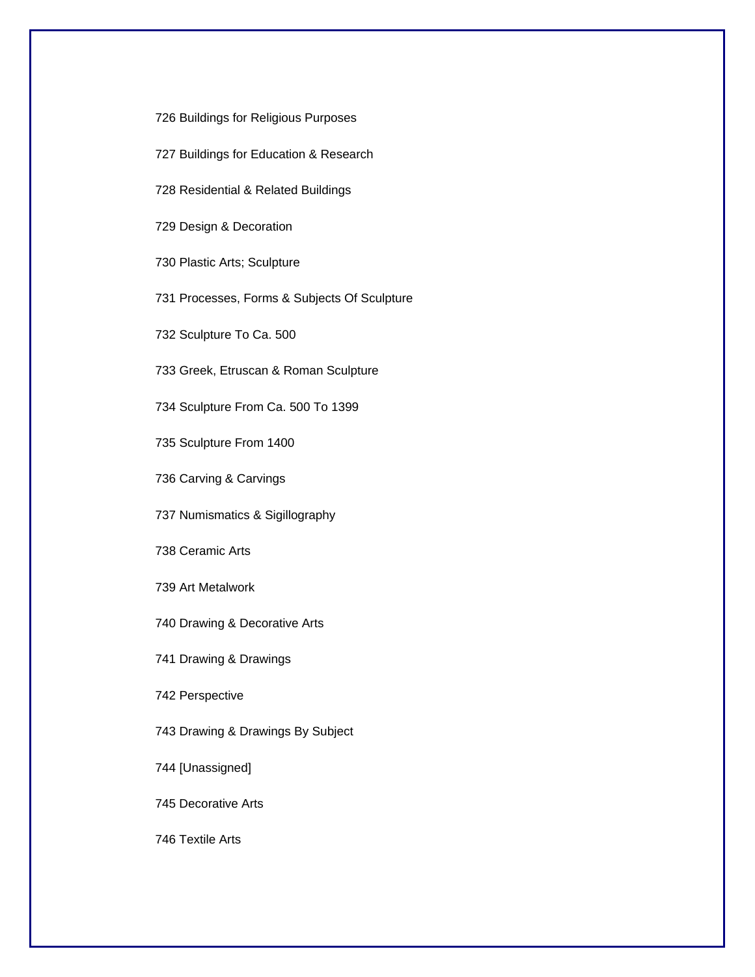726 Buildings for Religious Purposes

- 727 Buildings for Education & Research
- 728 Residential & Related Buildings

729 Design & Decoration

730 Plastic Arts; Sculpture

731 Processes, Forms & Subjects Of Sculpture

732 Sculpture To Ca. 500

733 Greek, Etruscan & Roman Sculpture

734 Sculpture From Ca. 500 To 1399

735 Sculpture From 1400

736 Carving & Carvings

737 Numismatics & Sigillography

738 Ceramic Arts

739 Art Metalwork

740 Drawing & Decorative Arts

741 Drawing & Drawings

742 Perspective

743 Drawing & Drawings By Subject

744 [Unassigned]

745 Decorative Arts

746 Textile Arts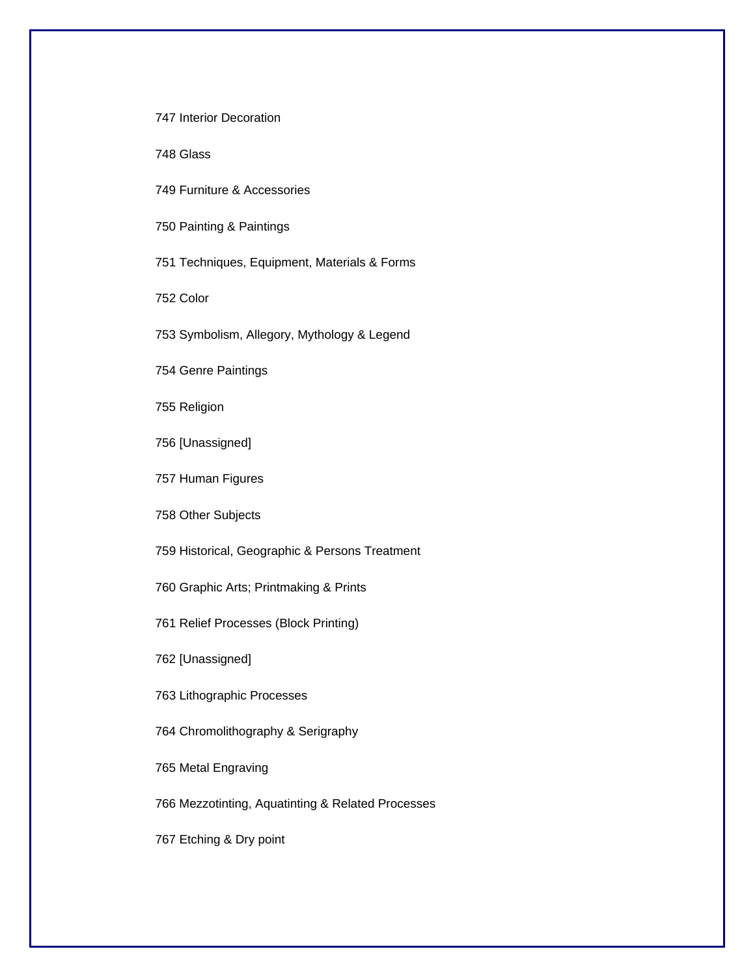747 Interior Decoration

748 Glass

749 Furniture & Accessories

750 Painting & Paintings

751 Techniques, Equipment, Materials & Forms

752 Color

753 Symbolism, Allegory, Mythology & Legend

754 Genre Paintings

755 Religion

756 [Unassigned]

757 Human Figures

758 Other Subjects

759 Historical, Geographic & Persons Treatment

760 Graphic Arts; Printmaking & Prints

761 Relief Processes (Block Printing)

762 [Unassigned]

763 Lithographic Processes

764 Chromolithography & Serigraphy

765 Metal Engraving

766 Mezzotinting, Aquatinting & Related Processes

767 Etching & Dry point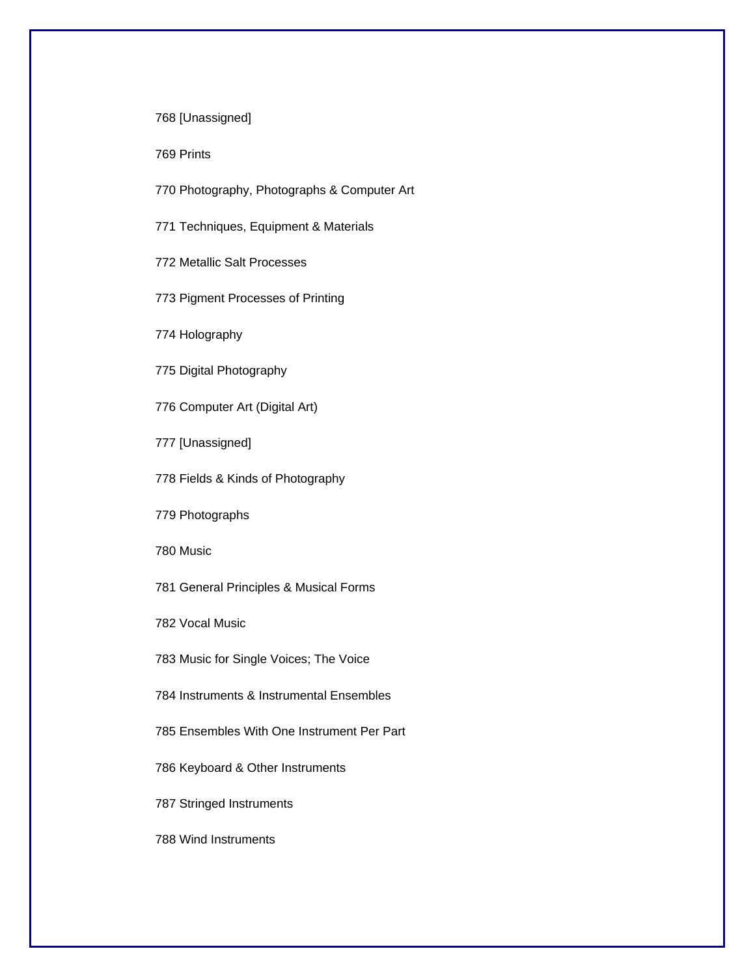768 [Unassigned]

769 Prints

770 Photography, Photographs & Computer Art

771 Techniques, Equipment & Materials

772 Metallic Salt Processes

773 Pigment Processes of Printing

774 Holography

775 Digital Photography

776 Computer Art (Digital Art)

777 [Unassigned]

778 Fields & Kinds of Photography

779 Photographs

780 Music

781 General Principles & Musical Forms

782 Vocal Music

783 Music for Single Voices; The Voice

784 Instruments & Instrumental Ensembles

785 Ensembles With One Instrument Per Part

786 Keyboard & Other Instruments

787 Stringed Instruments

788 Wind Instruments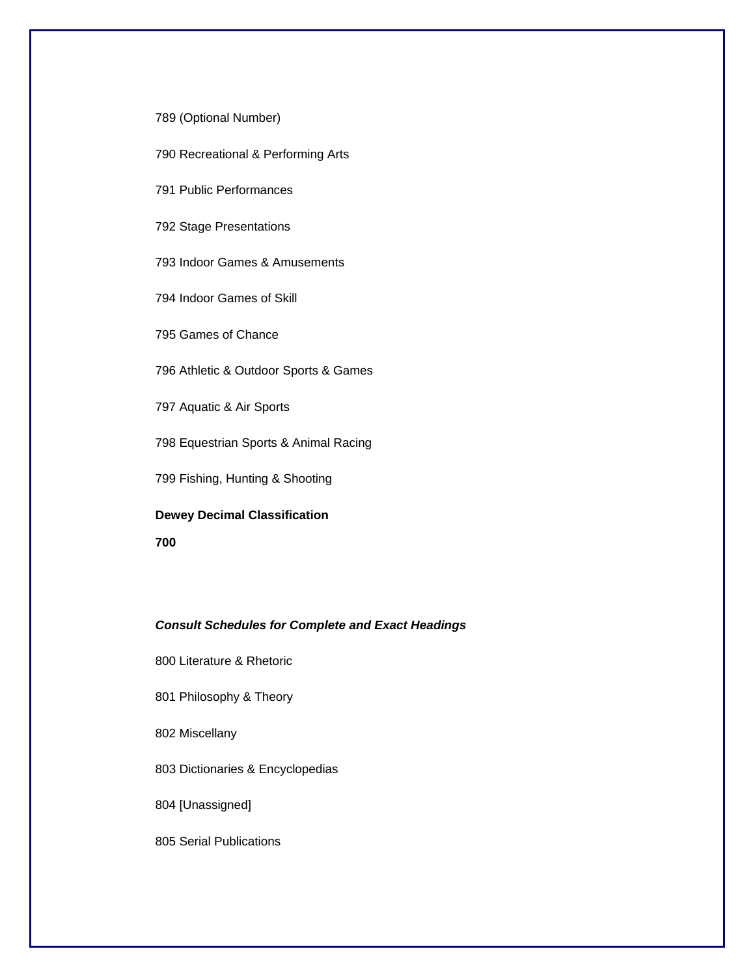789 (Optional Number)

790 Recreational & Performing Arts

791 Public Performances

792 Stage Presentations

793 Indoor Games & Amusements

794 Indoor Games of Skill

795 Games of Chance

796 Athletic & Outdoor Sports & Games

797 Aquatic & Air Sports

798 Equestrian Sports & Animal Racing

799 Fishing, Hunting & Shooting

**Dewey Decimal Classification** 

**700** 

## *Consult Schedules for Complete and Exact Headings*

800 Literature & Rhetoric

801 Philosophy & Theory

802 Miscellany

803 Dictionaries & Encyclopedias

804 [Unassigned]

805 Serial Publications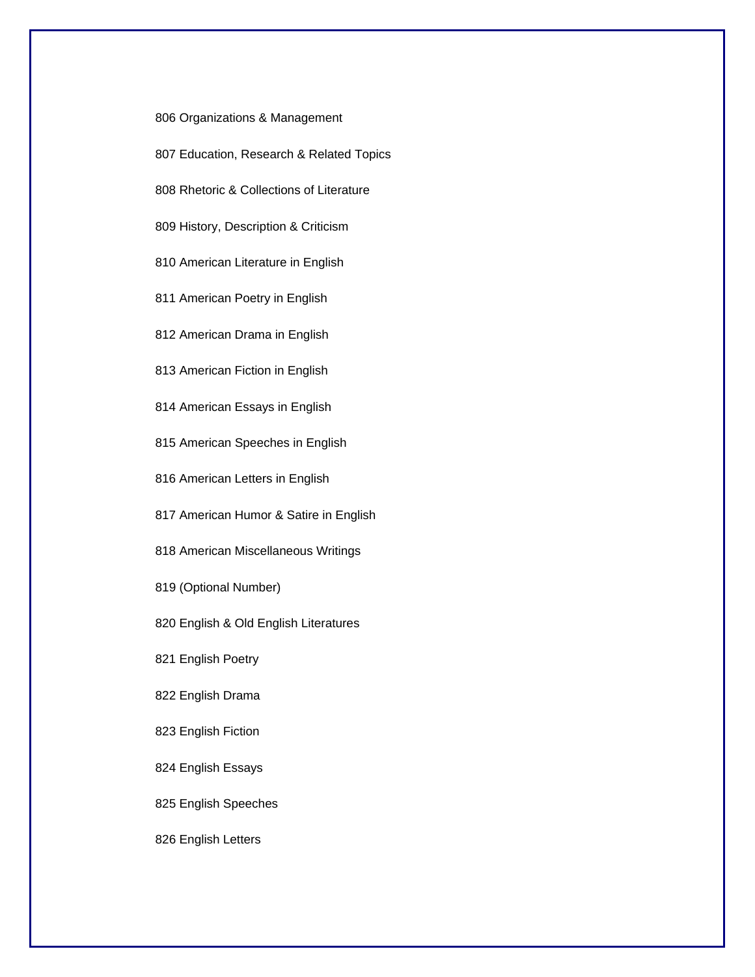806 Organizations & Management

- 807 Education, Research & Related Topics
- 808 Rhetoric & Collections of Literature

809 History, Description & Criticism

810 American Literature in English

811 American Poetry in English

812 American Drama in English

813 American Fiction in English

814 American Essays in English

815 American Speeches in English

816 American Letters in English

817 American Humor & Satire in English

818 American Miscellaneous Writings

819 (Optional Number)

820 English & Old English Literatures

821 English Poetry

822 English Drama

823 English Fiction

824 English Essays

825 English Speeches

826 English Letters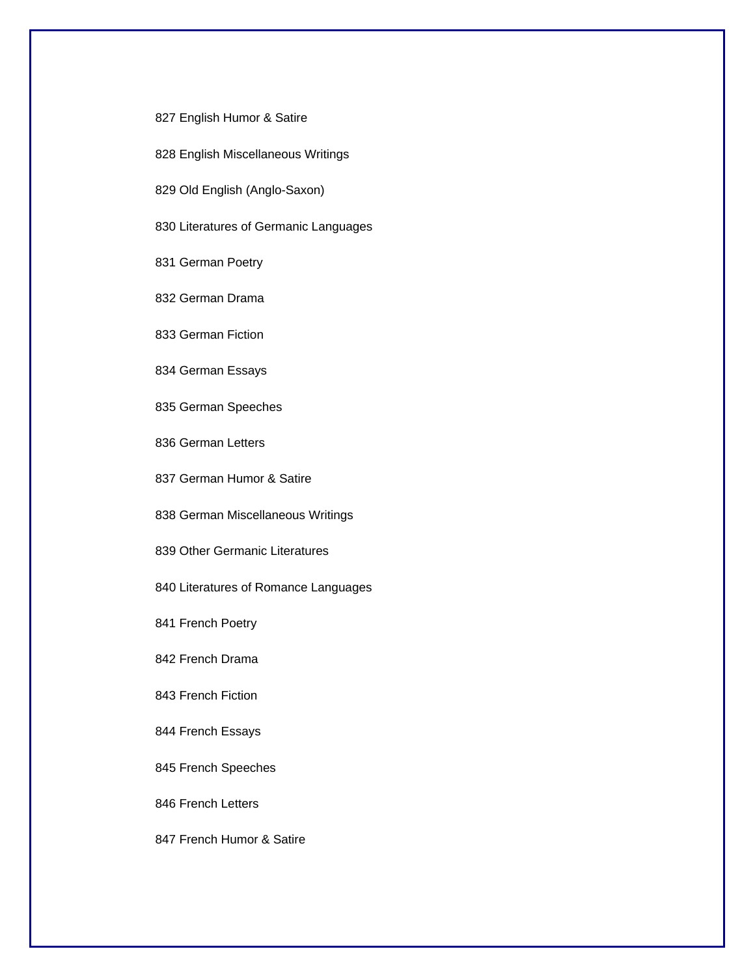- 827 English Humor & Satire
- 828 English Miscellaneous Writings
- 829 Old English (Anglo-Saxon)
- 830 Literatures of Germanic Languages
- 831 German Poetry
- 832 German Drama
- 833 German Fiction
- 834 German Essays
- 835 German Speeches
- 836 German Letters
- 837 German Humor & Satire
- 838 German Miscellaneous Writings
- 839 Other Germanic Literatures
- 840 Literatures of Romance Languages
- 841 French Poetry
- 842 French Drama
- 843 French Fiction
- 844 French Essays
- 845 French Speeches
- 846 French Letters
- 847 French Humor & Satire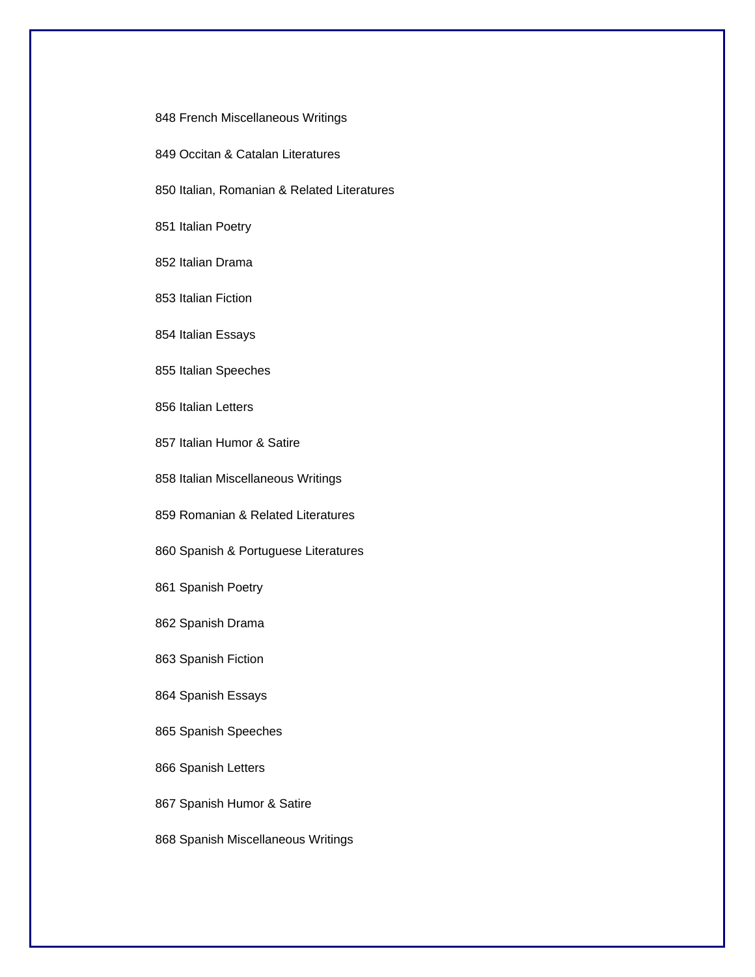848 French Miscellaneous Writings

849 Occitan & Catalan Literatures

850 Italian, Romanian & Related Literatures

851 Italian Poetry

852 Italian Drama

853 Italian Fiction

854 Italian Essays

855 Italian Speeches

856 Italian Letters

857 Italian Humor & Satire

858 Italian Miscellaneous Writings

859 Romanian & Related Literatures

860 Spanish & Portuguese Literatures

861 Spanish Poetry

862 Spanish Drama

863 Spanish Fiction

864 Spanish Essays

865 Spanish Speeches

866 Spanish Letters

867 Spanish Humor & Satire

868 Spanish Miscellaneous Writings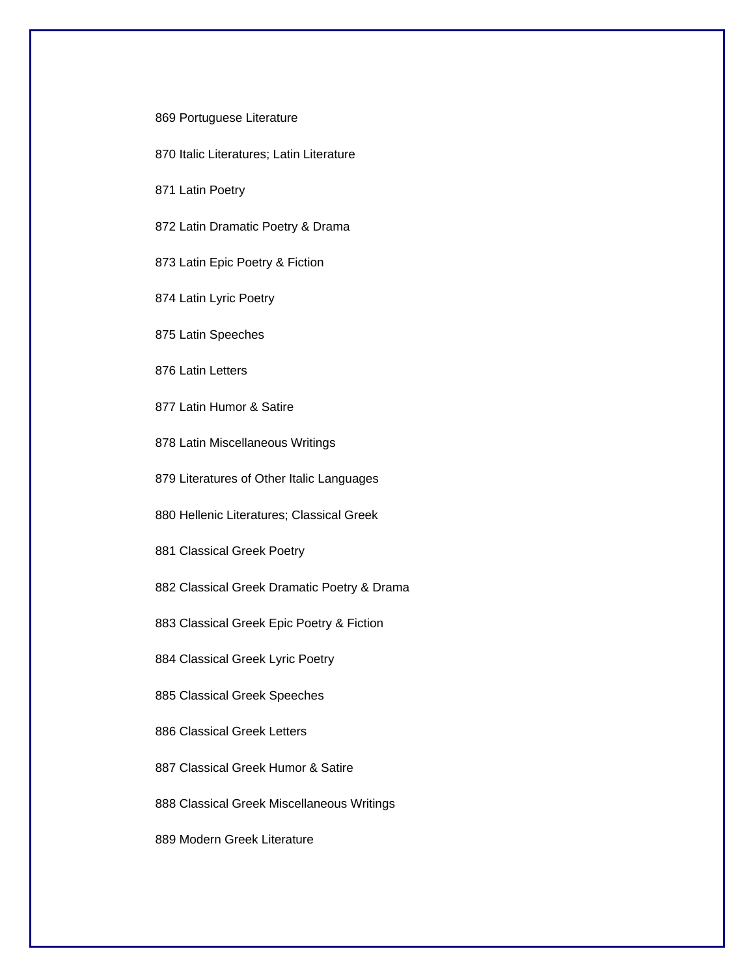#### 869 Portuguese Literature

870 Italic Literatures; Latin Literature

871 Latin Poetry

872 Latin Dramatic Poetry & Drama

873 Latin Epic Poetry & Fiction

874 Latin Lyric Poetry

875 Latin Speeches

876 Latin Letters

877 Latin Humor & Satire

878 Latin Miscellaneous Writings

879 Literatures of Other Italic Languages

880 Hellenic Literatures; Classical Greek

881 Classical Greek Poetry

882 Classical Greek Dramatic Poetry & Drama

883 Classical Greek Epic Poetry & Fiction

884 Classical Greek Lyric Poetry

885 Classical Greek Speeches

886 Classical Greek Letters

887 Classical Greek Humor & Satire

888 Classical Greek Miscellaneous Writings

889 Modern Greek Literature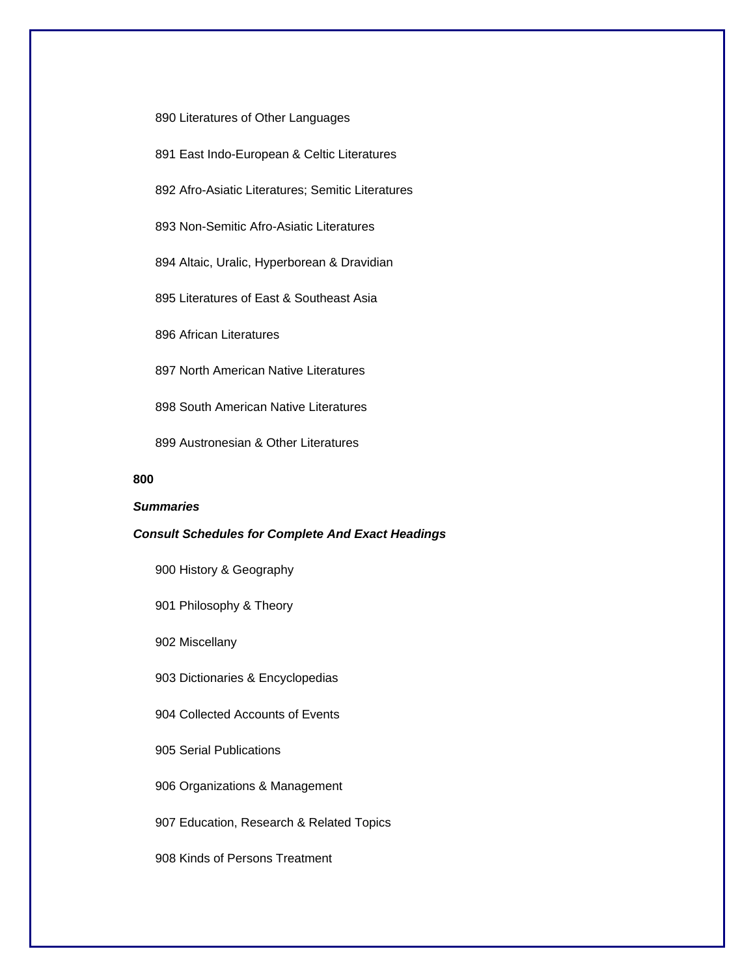890 Literatures of Other Languages

- 891 East Indo-European & Celtic Literatures
- 892 Afro-Asiatic Literatures; Semitic Literatures

893 Non-Semitic Afro-Asiatic Literatures

894 Altaic, Uralic, Hyperborean & Dravidian

895 Literatures of East & Southeast Asia

896 African Literatures

897 North American Native Literatures

898 South American Native Literatures

899 Austronesian & Other Literatures

### **800**

## *Summaries*

#### *Consult Schedules for Complete And Exact Headings*

900 History & Geography

901 Philosophy & Theory

902 Miscellany

903 Dictionaries & Encyclopedias

904 Collected Accounts of Events

905 Serial Publications

906 Organizations & Management

907 Education, Research & Related Topics

908 Kinds of Persons Treatment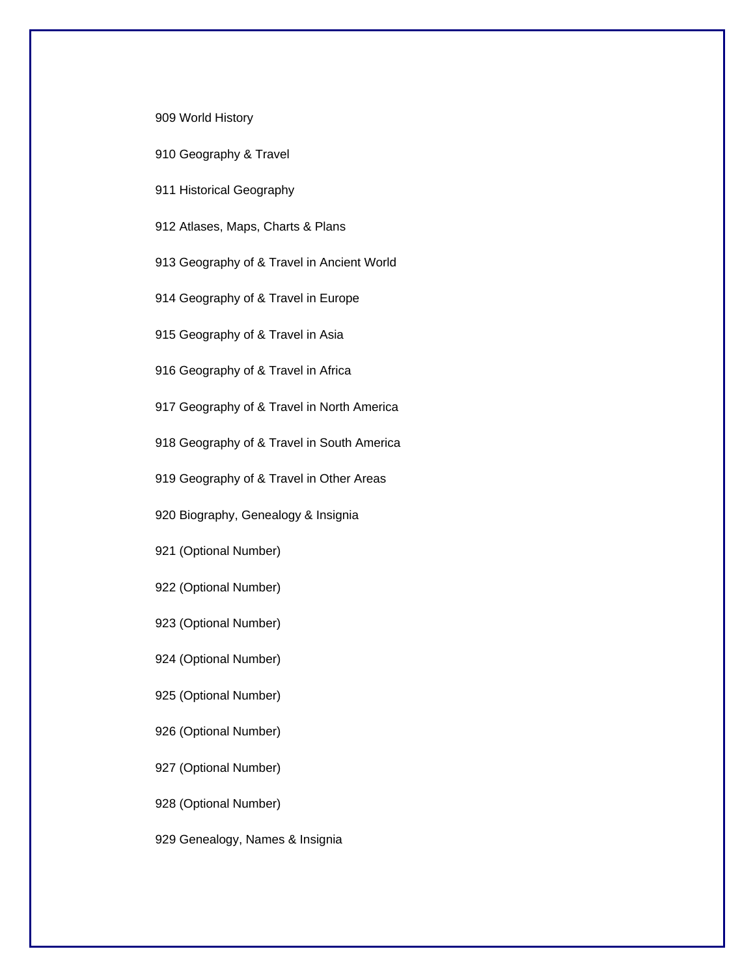#### 909 World History

- 910 Geography & Travel
- 911 Historical Geography

912 Atlases, Maps, Charts & Plans

- 913 Geography of & Travel in Ancient World
- 914 Geography of & Travel in Europe

915 Geography of & Travel in Asia

916 Geography of & Travel in Africa

917 Geography of & Travel in North America

918 Geography of & Travel in South America

919 Geography of & Travel in Other Areas

920 Biography, Genealogy & Insignia

921 (Optional Number)

922 (Optional Number)

923 (Optional Number)

924 (Optional Number)

925 (Optional Number)

926 (Optional Number)

927 (Optional Number)

928 (Optional Number)

929 Genealogy, Names & Insignia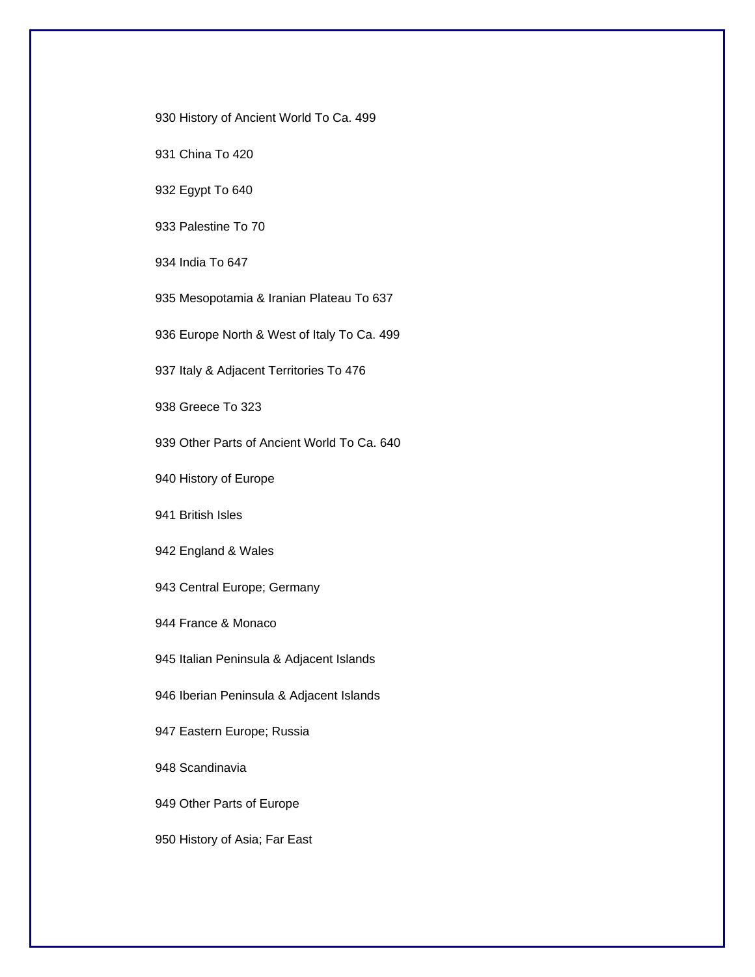930 History of Ancient World To Ca. 499

931 China To 420

932 Egypt To 640

933 Palestine To 70

934 India To 647

935 Mesopotamia & Iranian Plateau To 637

936 Europe North & West of Italy To Ca. 499

937 Italy & Adjacent Territories To 476

938 Greece To 323

939 Other Parts of Ancient World To Ca. 640

940 History of Europe

941 British Isles

942 England & Wales

943 Central Europe; Germany

944 France & Monaco

945 Italian Peninsula & Adjacent Islands

946 Iberian Peninsula & Adjacent Islands

947 Eastern Europe; Russia

948 Scandinavia

949 Other Parts of Europe

950 History of Asia; Far East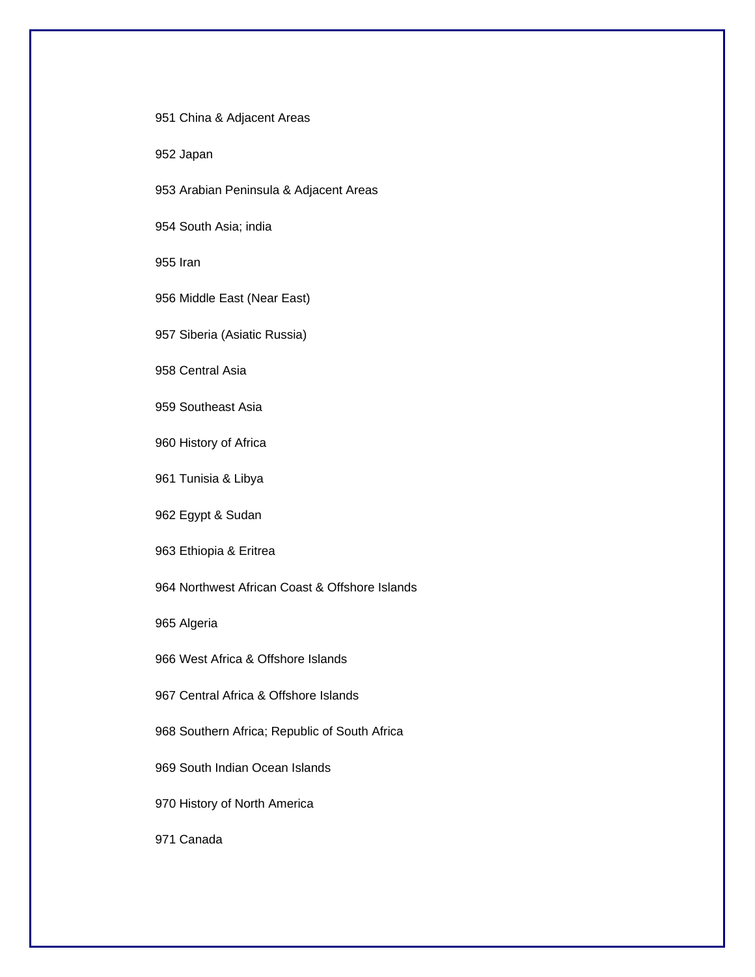951 China & Adjacent Areas

952 Japan

953 Arabian Peninsula & Adjacent Areas

954 South Asia; india

955 Iran

956 Middle East (Near East)

957 Siberia (Asiatic Russia)

958 Central Asia

959 Southeast Asia

960 History of Africa

961 Tunisia & Libya

962 Egypt & Sudan

963 Ethiopia & Eritrea

964 Northwest African Coast & Offshore Islands

965 Algeria

966 West Africa & Offshore Islands

967 Central Africa & Offshore Islands

968 Southern Africa; Republic of South Africa

969 South Indian Ocean Islands

970 History of North America

971 Canada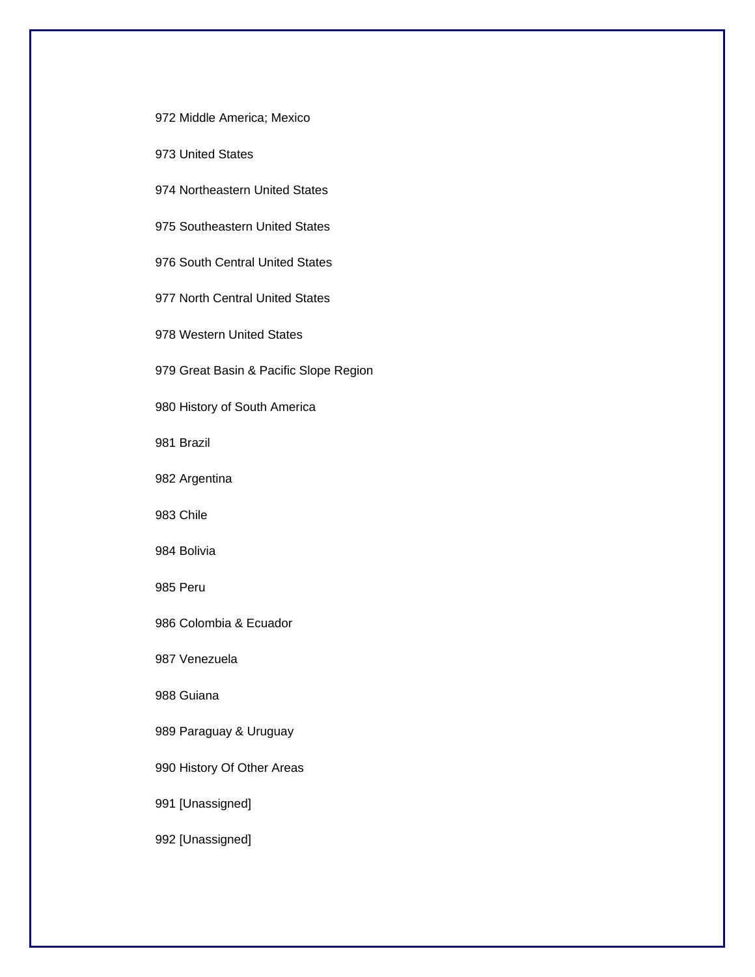972 Middle America; Mexico

973 United States

974 Northeastern United States

975 Southeastern United States

976 South Central United States

977 North Central United States

978 Western United States

979 Great Basin & Pacific Slope Region

980 History of South America

981 Brazil

982 Argentina

983 Chile

984 Bolivia

985 Peru

986 Colombia & Ecuador

987 Venezuela

988 Guiana

989 Paraguay & Uruguay

990 History Of Other Areas

991 [Unassigned]

992 [Unassigned]